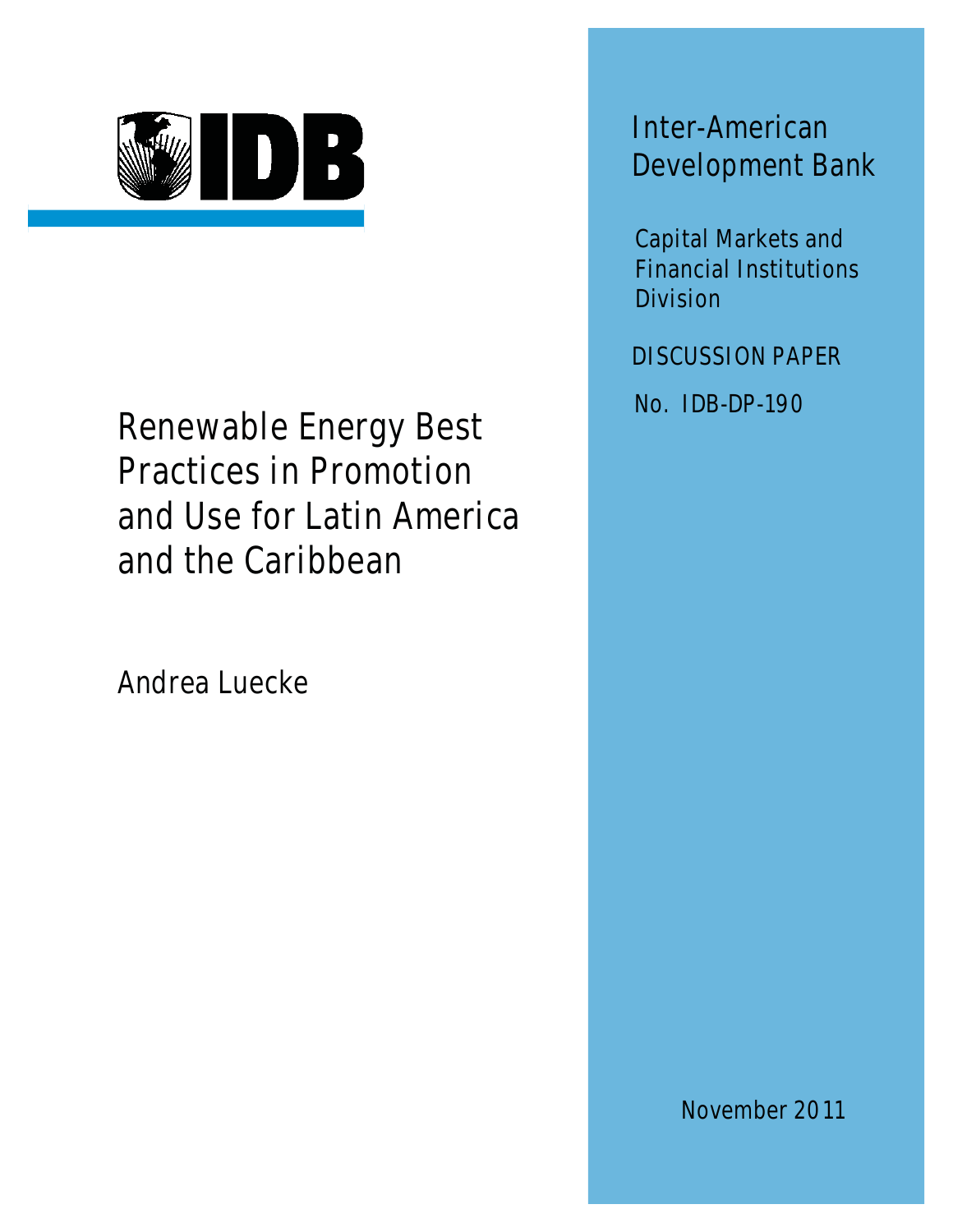

Renewable Energy Best Practices in Promotion and Use for Latin America and the Caribbean

Andrea Luecke

Inter-American Development Bank

Capital Markets and Financial Institutions Division

DISCUSSION PAPER

No. IDB-DP-190

November 2011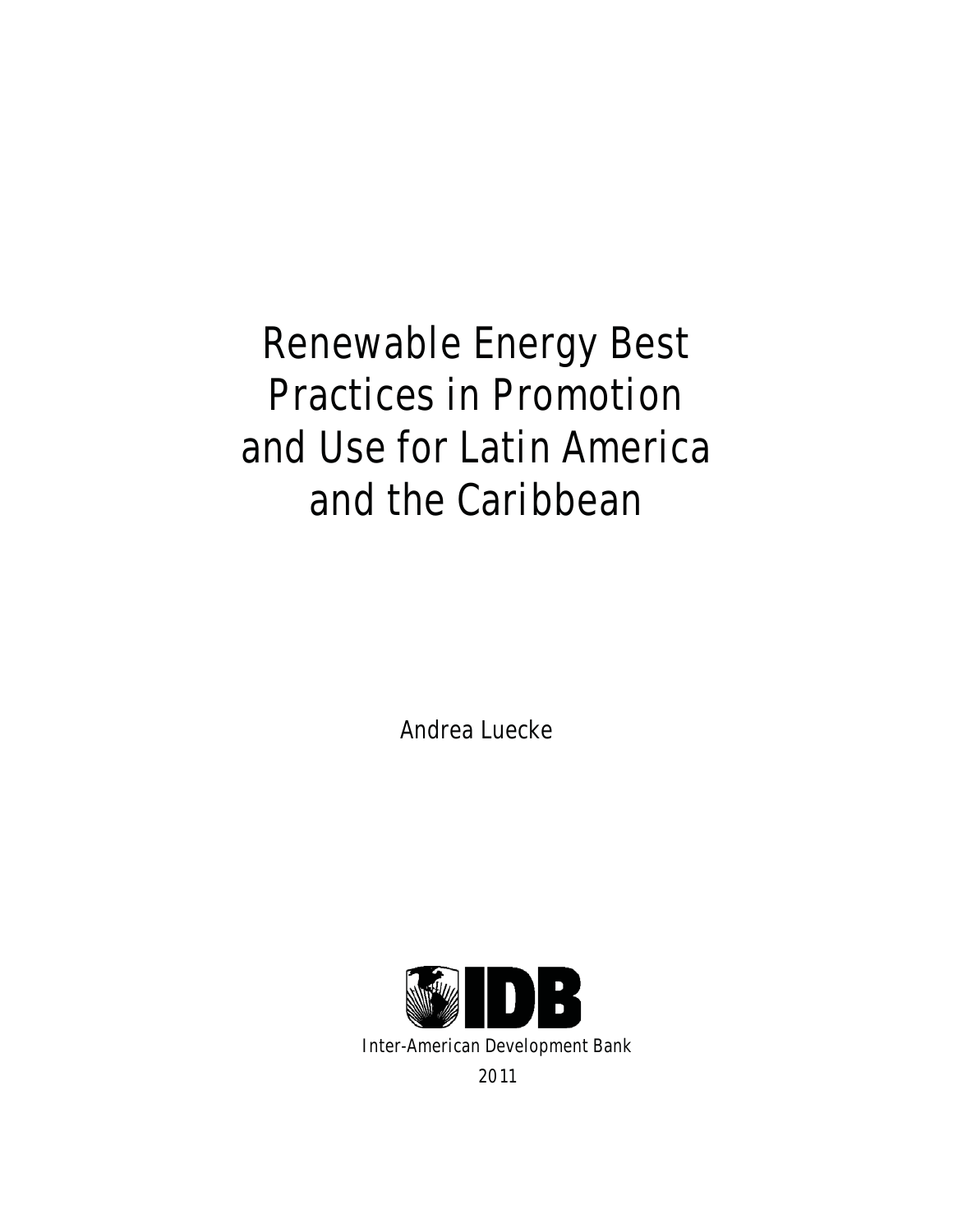Renewable Energy Best Practices in Promotion and Use for Latin America and the Caribbean

Andrea Luecke

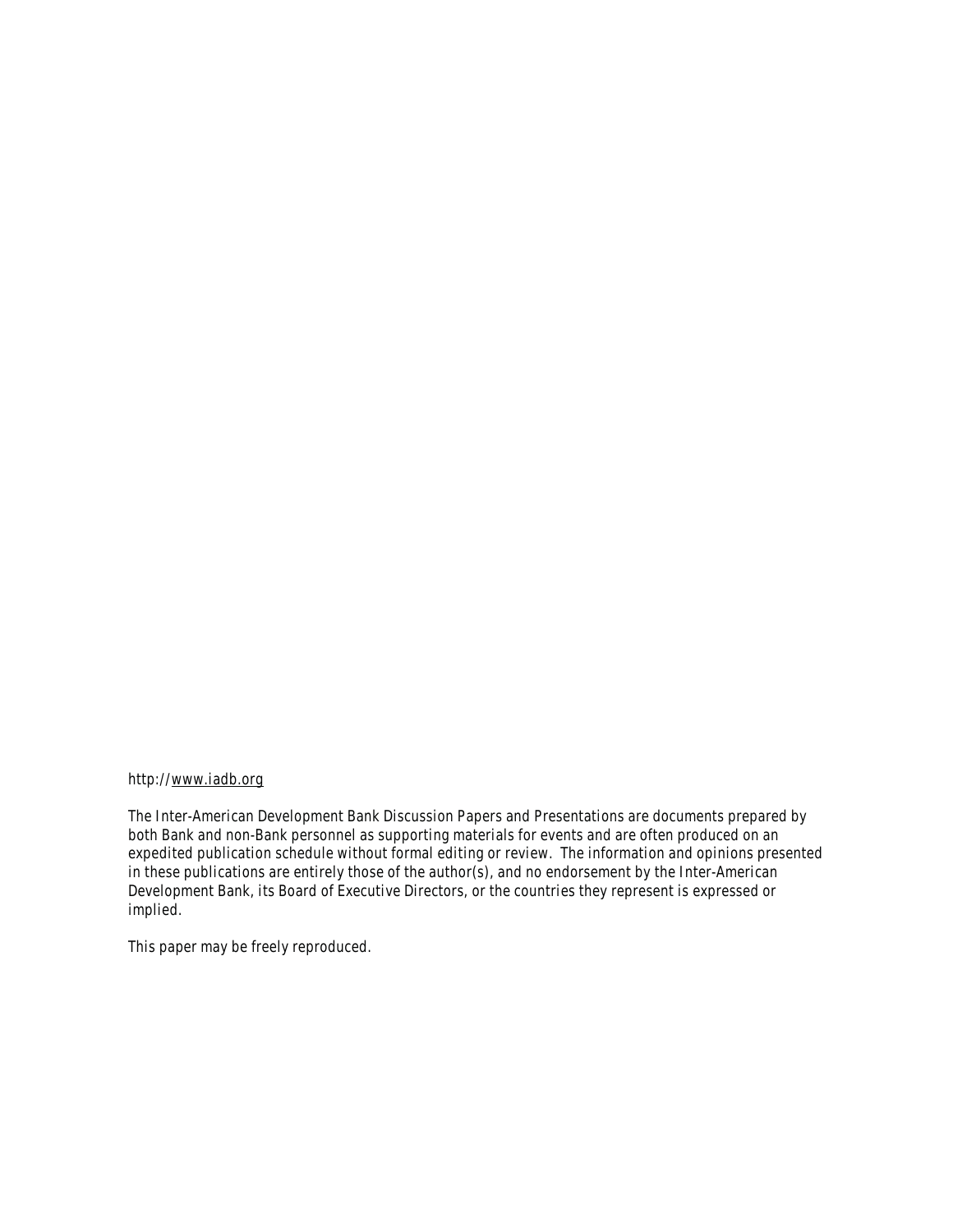#### http://www.iadb.org

The Inter-American Development Bank Discussion Papers and Presentations are documents prepared by both Bank and non-Bank personnel as supporting materials for events and are often produced on an expedited publication schedule without formal editing or review. The information and opinions presented in these publications are entirely those of the author(s), and no endorsement by the Inter-American Development Bank, its Board of Executive Directors, or the countries they represent is expressed or implied.

This paper may be freely reproduced.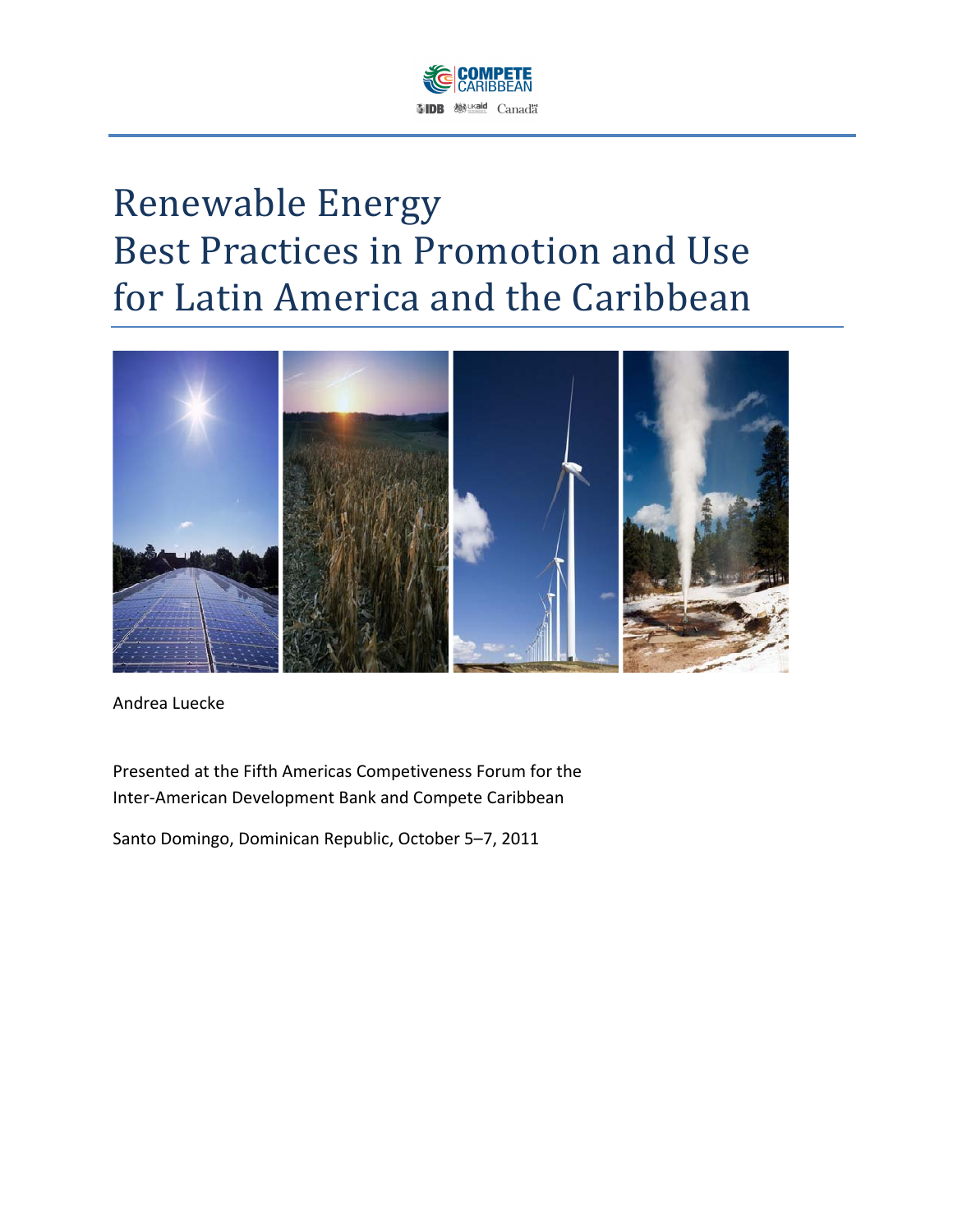

# Renewable Energy Best Practices in Promotion and Use for Latin America and the Caribbean



Andrea Luecke

Presented at the Fifth Americas Competiveness Forum for the Inter-American Development Bank and Compete Caribbean

Santo Domingo, Dominican Republic, October 5–7, 2011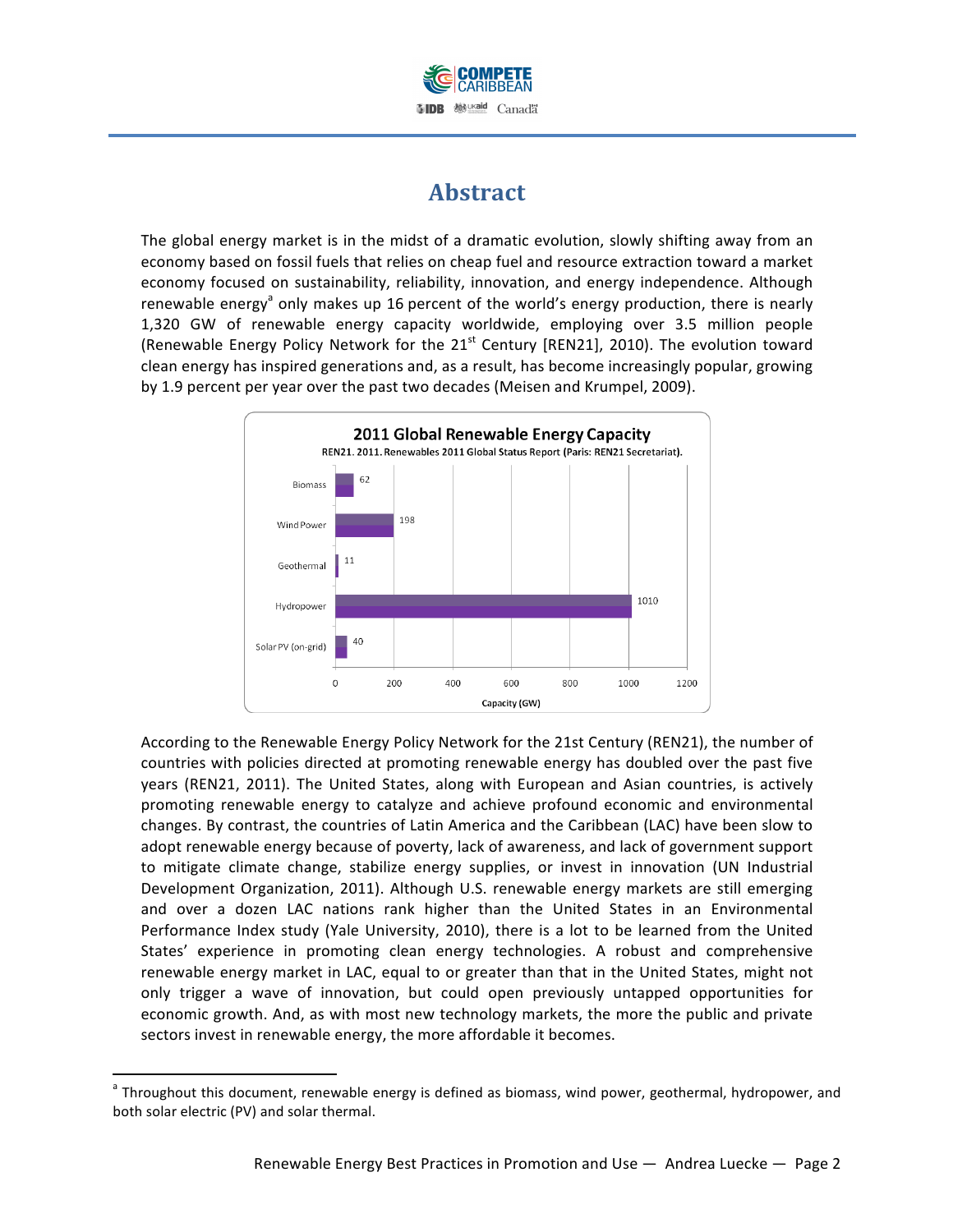

# **Abstract**

The global energy market is in the midst of a dramatic evolution, slowly shifting away from an economy based on fossil fuels that relies on cheap fuel and resource extraction toward a market economy focused on sustainability, reliability, innovation, and energy independence. Although renewable energy<sup>a</sup> only makes up 16 percent of the world's energy production, there is nearly 1,320 GW of renewable energy capacity worldwide, employing over 3.5 million people (Renewable Energy Policy Network for the  $21<sup>st</sup>$  Century [REN21], 2010). The evolution toward clean energy has inspired generations and, as a result, has become increasingly popular, growing by 1.9 percent per year over the past two decades (Meisen and Krumpel, 2009).



According to the Renewable Energy Policy Network for the 21st Century (REN21), the number of countries with policies directed at promoting renewable energy has doubled over the past five years (REN21, 2011). The United States, along with European and Asian countries, is actively promoting renewable energy to catalyze and achieve profound economic and environmental changes. By contrast, the countries of Latin America and the Caribbean (LAC) have been slow to adopt renewable energy because of poverty, lack of awareness, and lack of government support to mitigate climate change, stabilize energy supplies, or invest in innovation (UN Industrial Development Organization, 2011). Although U.S. renewable energy markets are still emerging and over a dozen LAC nations rank higher than the United States in an Environmental Performance Index study (Yale University, 2010), there is a lot to be learned from the United States' experience in promoting clean energy technologies. A robust and comprehensive renewable energy market in LAC, equal to or greater than that in the United States, might not only trigger a wave of innovation, but could open previously untapped opportunities for economic growth. And, as with most new technology markets, the more the public and private sectors invest in renewable energy, the more affordable it becomes.

!!!!!!!!!!!!!!!!!!!!!!!!!!!!!!!!!!!!!!!!!!!!!!!!!!!!!!!!!!!!

<sup>&</sup>lt;sup>a</sup> Throughout this document, renewable energy is defined as biomass, wind power, geothermal, hydropower, and both solar electric (PV) and solar thermal.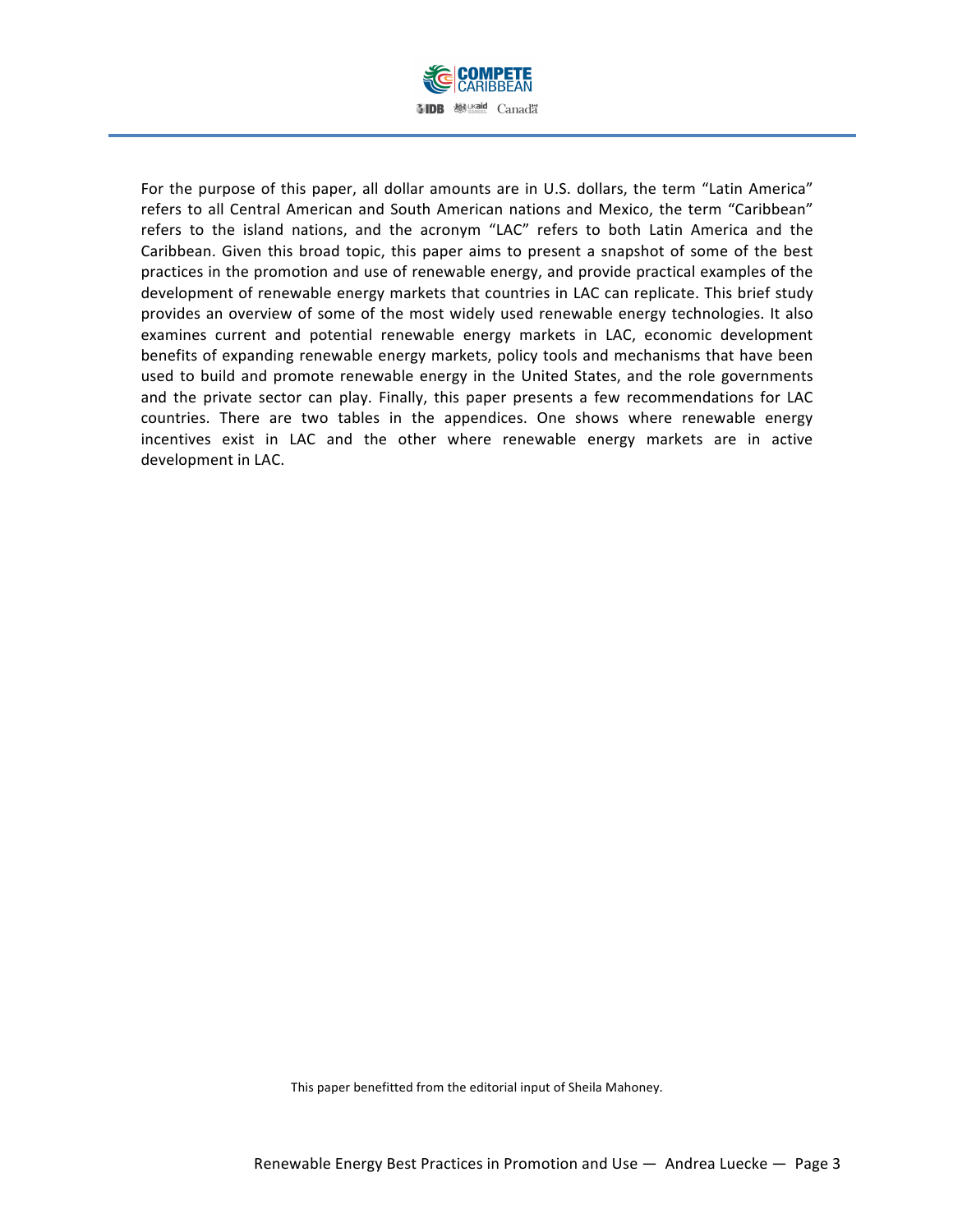

For the purpose of this paper, all dollar amounts are in U.S. dollars, the term "Latin America" refers to all Central American and South American nations and Mexico, the term "Caribbean" refers to the island nations, and the acronym "LAC" refers to both Latin America and the Caribbean. Given this broad topic, this paper aims to present a snapshot of some of the best practices in the promotion and use of renewable energy, and provide practical examples of the development of renewable energy markets that countries in LAC can replicate. This brief study provides an overview of some of the most widely used renewable energy technologies. It also examines current and potential renewable energy markets in LAC, economic development benefits of expanding renewable energy markets, policy tools and mechanisms that have been used to build and promote renewable energy in the United States, and the role governments and the private sector can play. Finally, this paper presents a few recommendations for LAC countries. There are two tables in the appendices. One shows where renewable energy incentives exist in LAC and the other where renewable energy markets are in active development in LAC.

This paper benefitted from the editorial input of Sheila Mahoney.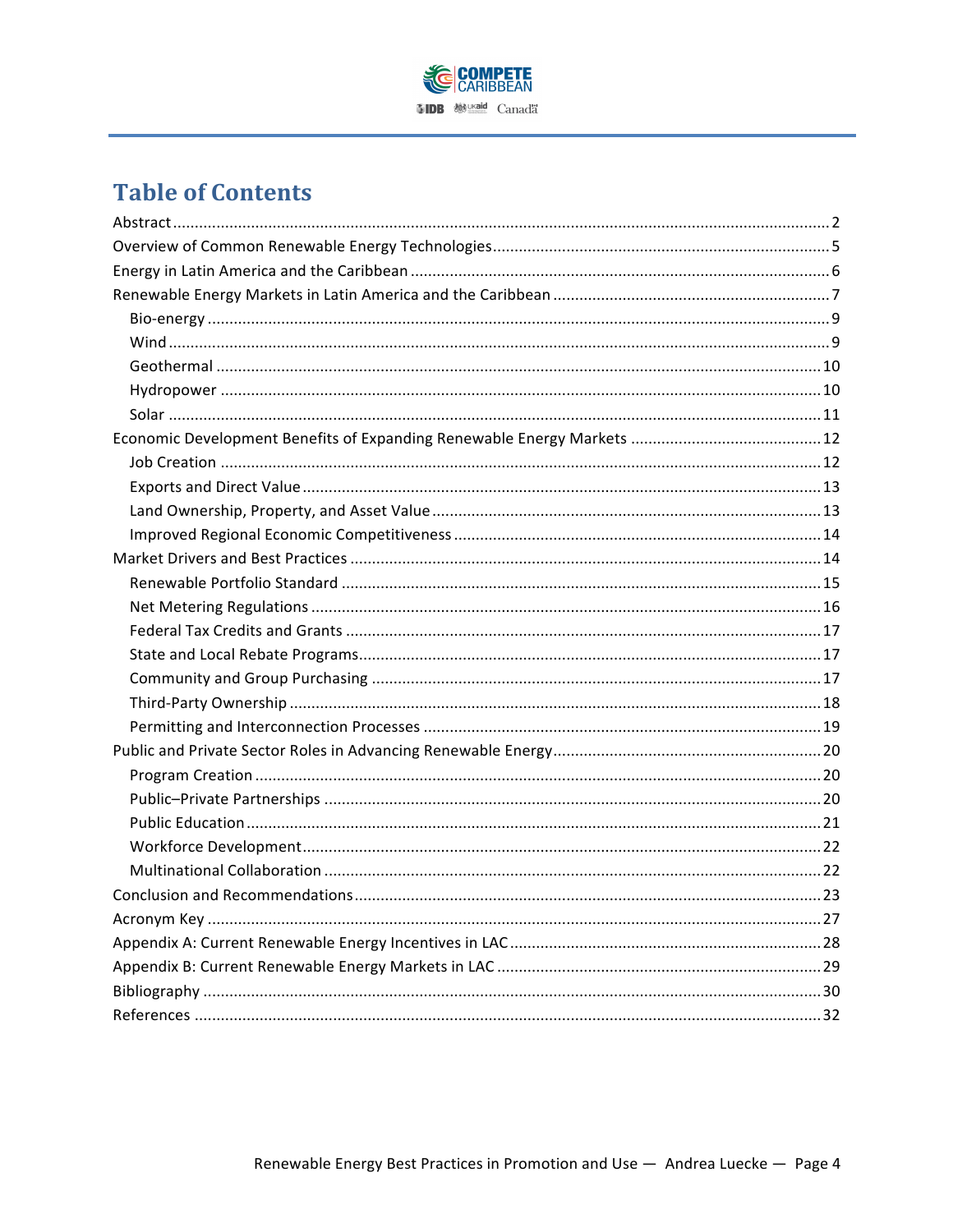

# **Table of Contents**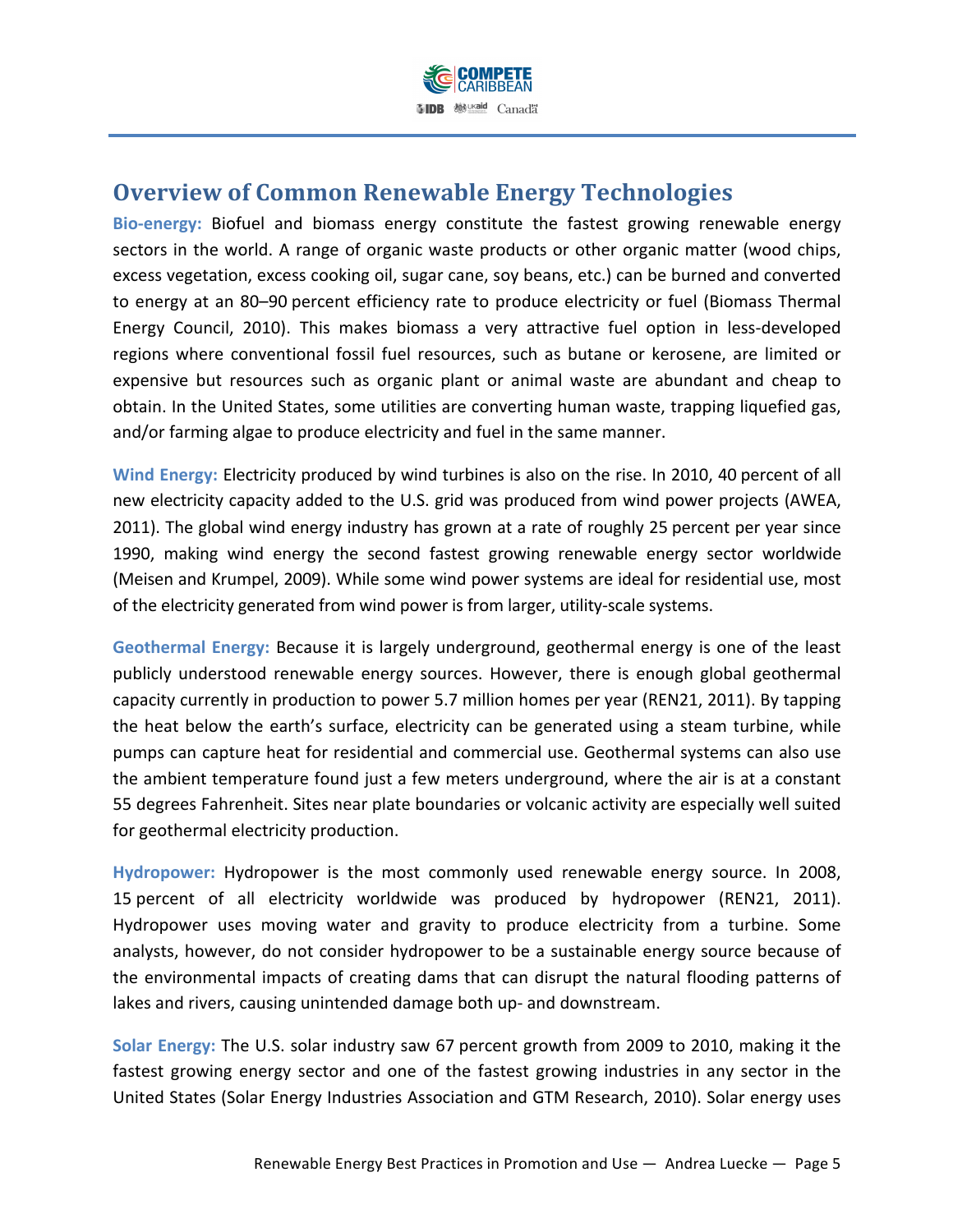

# **Overview of Common Renewable Energy Technologies**

Bio-energy: Biofuel and biomass energy constitute the fastest growing renewable energy sectors in the world. A range of organic waste products or other organic matter (wood chips, excess vegetation, excess cooking oil, sugar cane, soy beans, etc.) can be burned and converted to energy at an 80–90 percent efficiency rate to produce electricity or fuel (Biomass Thermal Energy Council, 2010). This makes biomass a very attractive fuel option in less-developed regions where conventional fossil fuel resources, such as butane or kerosene, are limited or expensive but resources such as organic plant or animal waste are abundant and cheap to obtain. In the United States, some utilities are converting human waste, trapping liquefied gas, and/or farming algae to produce electricity and fuel in the same manner.

Wind Energy: Electricity produced by wind turbines is also on the rise. In 2010, 40 percent of all new electricity capacity added to the U.S. grid was produced from wind power projects (AWEA, 2011). The global wind energy industry has grown at a rate of roughly 25 percent per year since 1990, making wind energy the second fastest growing renewable energy sector worldwide (Meisen and Krumpel, 2009). While some wind power systems are ideal for residential use, most of the electricity generated from wind power is from larger, utility-scale systems.

Geothermal Energy: Because it is largely underground, geothermal energy is one of the least publicly understood renewable energy sources. However, there is enough global geothermal capacity currently in production to power 5.7 million homes per year (REN21, 2011). By tapping the heat below the earth's surface, electricity can be generated using a steam turbine, while pumps can capture heat for residential and commercial use. Geothermal systems can also use the ambient temperature found just a few meters underground, where the air is at a constant 55 degrees Fahrenheit. Sites near plate boundaries or volcanic activity are especially well suited for geothermal electricity production.

Hydropower: Hydropower is the most commonly used renewable energy source. In 2008, 15 percent of all electricity worldwide was produced by hydropower (REN21, 2011). Hydropower uses moving water and gravity to produce electricity from a turbine. Some analysts, however, do not consider hydropower to be a sustainable energy source because of the environmental impacts of creating dams that can disrupt the natural flooding patterns of lakes and rivers, causing unintended damage both up- and downstream.

Solar Energy: The U.S. solar industry saw 67 percent growth from 2009 to 2010, making it the fastest growing energy sector and one of the fastest growing industries in any sector in the United States (Solar Energy Industries Association and GTM Research, 2010). Solar energy uses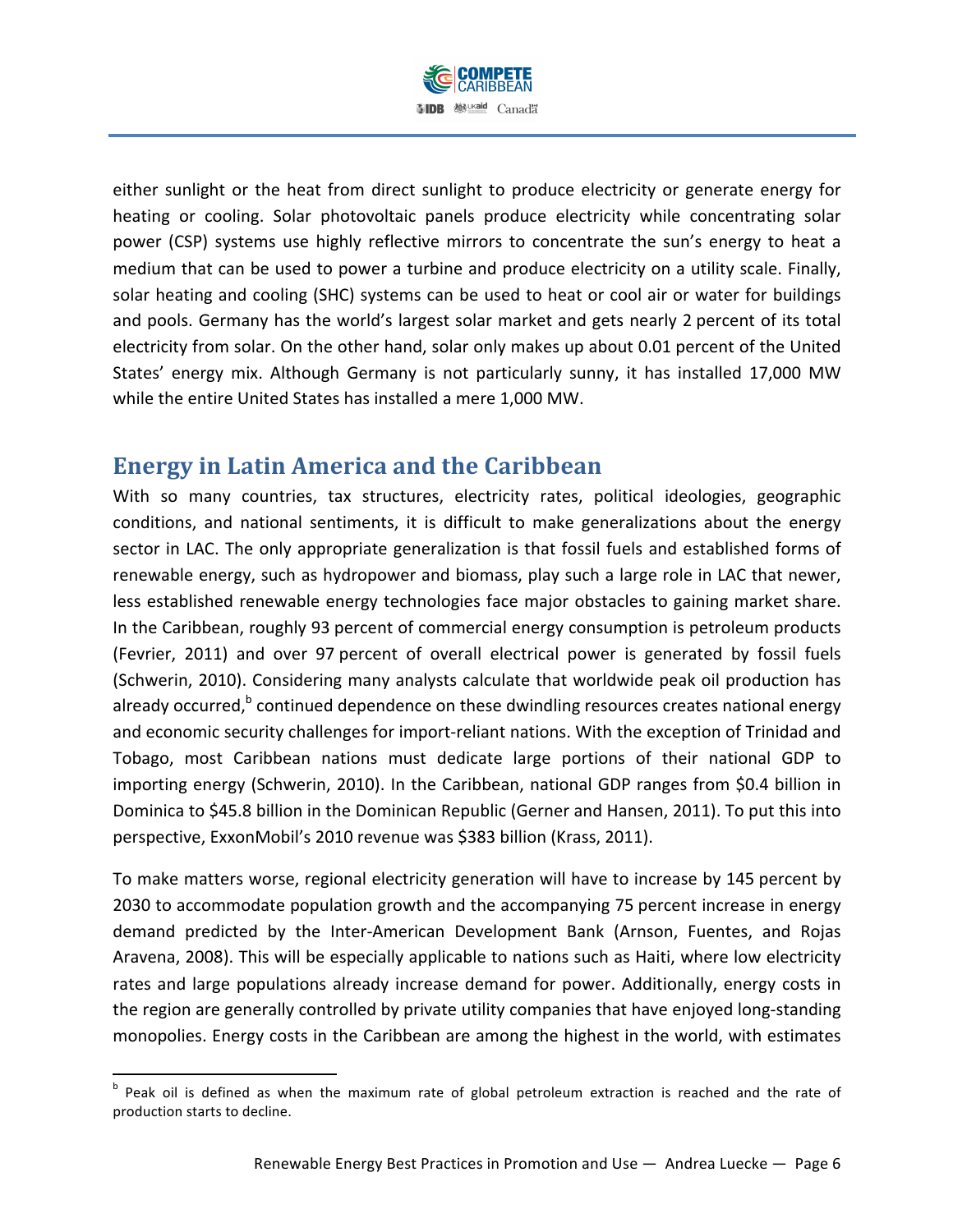

either sunlight or the heat from direct sunlight to produce electricity or generate energy for heating or cooling. Solar photovoltaic panels produce electricity while concentrating solar power (CSP) systems use highly reflective mirrors to concentrate the sun's energy to heat a medium that can be used to power a turbine and produce electricity on a utility scale. Finally, solar heating and cooling (SHC) systems can be used to heat or cool air or water for buildings and pools. Germany has the world's largest solar market and gets nearly 2 percent of its total electricity from solar. On the other hand, solar only makes up about 0.01 percent of the United States' energy mix. Although Germany is not particularly sunny, it has installed 17,000 MW while the entire United States has installed a mere 1,000 MW.

# **Energy in Latin America and the Caribbean**

!!!!!!!!!!!!!!!!!!!!!!!!!!!!!!!!!!!!!!!!!!!!!!!!!!!!!!!!!!!!

With so many countries, tax structures, electricity rates, political ideologies, geographic conditions, and national sentiments, it is difficult to make generalizations about the energy sector in LAC. The only appropriate generalization is that fossil fuels and established forms of renewable energy, such as hydropower and biomass, play such a large role in LAC that newer, less established renewable energy technologies face major obstacles to gaining market share. In the Caribbean, roughly 93 percent of commercial energy consumption is petroleum products (Fevrier, 2011) and over 97 percent of overall electrical power is generated by fossil fuels (Schwerin, 2010). Considering many analysts calculate that worldwide peak oil production has already occurred, $b$  continued dependence on these dwindling resources creates national energy and economic security challenges for import-reliant nations. With the exception of Trinidad and Tobago, most Caribbean nations must dedicate large portions of their national GDP to importing energy (Schwerin, 2010). In the Caribbean, national GDP ranges from \$0.4 billion in Dominica to \$45.8 billion in the Dominican Republic (Gerner and Hansen, 2011). To put this into perspective, ExxonMobil's 2010 revenue was \$383 billion (Krass, 2011).

To make matters worse, regional electricity generation will have to increase by 145 percent by 2030 to accommodate population growth and the accompanying 75 percent increase in energy demand predicted by the Inter-American Development Bank (Arnson, Fuentes, and Rojas Aravena, 2008). This will be especially applicable to nations such as Haiti, where low electricity rates and large populations already increase demand for power. Additionally, energy costs in the region are generally controlled by private utility companies that have enjoyed long-standing monopolies. Energy costs in the Caribbean are among the highest in the world, with estimates

b Peak oil is defined as when the maximum rate of global petroleum extraction is reached and the rate of production starts to decline.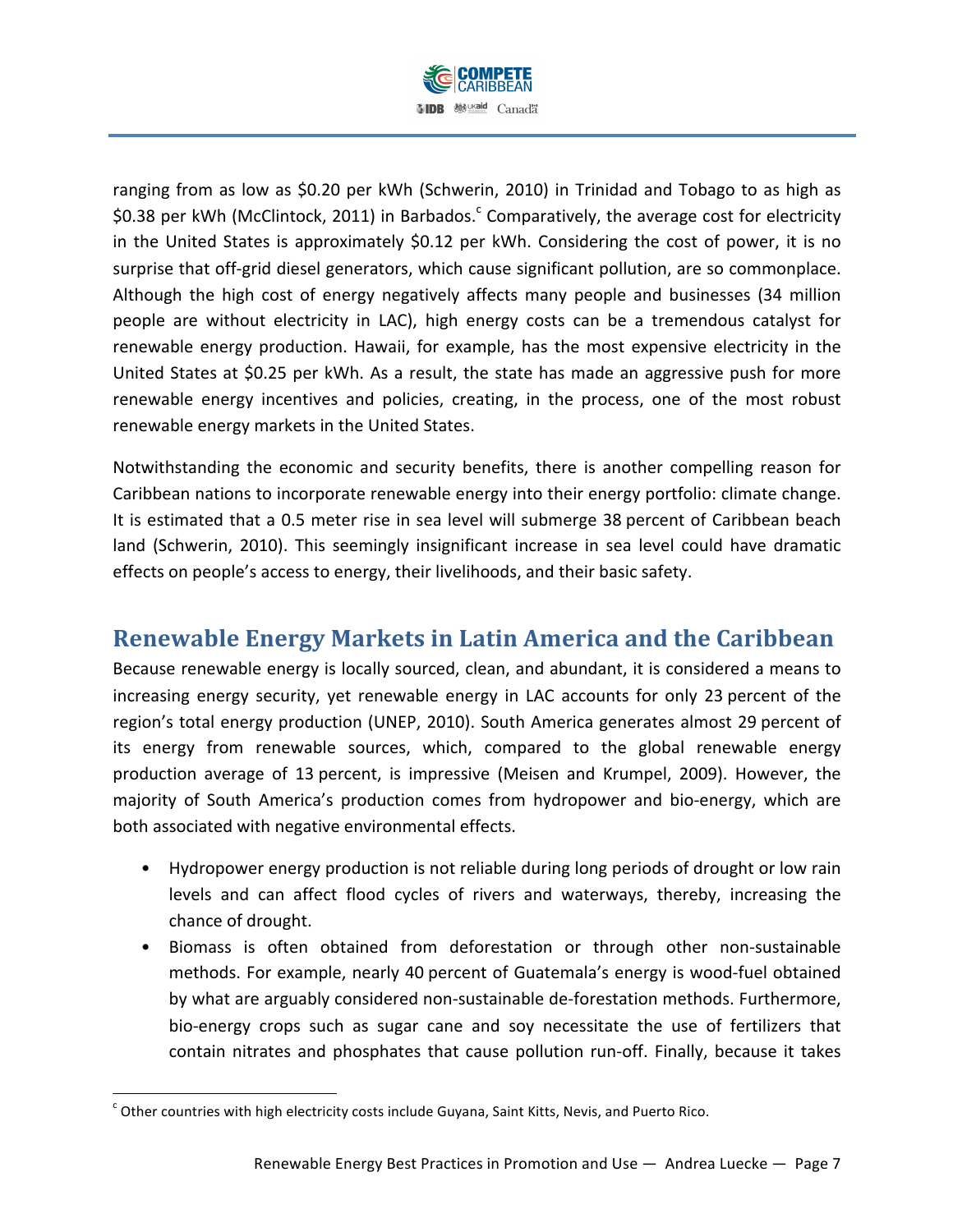

ranging from as low as \$0.20 per kWh (Schwerin, 2010) in Trinidad and Tobago to as high as \$0.38 per kWh (McClintock, 2011) in Barbados.<sup>c</sup> Comparatively, the average cost for electricity in the United States is approximately  $$0.12$  per kWh. Considering the cost of power, it is no surprise that off-grid diesel generators, which cause significant pollution, are so commonplace. Although the high cost of energy negatively affects many people and businesses (34 million people are without electricity in LAC), high energy costs can be a tremendous catalyst for renewable energy production. Hawaii, for example, has the most expensive electricity in the United States at \$0.25 per kWh. As a result, the state has made an aggressive push for more renewable energy incentives and policies, creating, in the process, one of the most robust renewable energy markets in the United States.

Notwithstanding the economic and security benefits, there is another compelling reason for Caribbean nations to incorporate renewable energy into their energy portfolio: climate change. It is estimated that a 0.5 meter rise in sea level will submerge 38 percent of Caribbean beach land (Schwerin, 2010). This seemingly insignificant increase in sea level could have dramatic effects on people's access to energy, their livelihoods, and their basic safety.

# **Renewable Energy Markets in Latin America and the Caribbean**

Because renewable energy is locally sourced, clean, and abundant, it is considered a means to increasing energy security, yet renewable energy in LAC accounts for only 23 percent of the region's total energy production (UNEP, 2010). South America generates almost 29 percent of its energy from renewable sources, which, compared to the global renewable energy production average of 13 percent, is impressive (Meisen and Krumpel, 2009). However, the majority of South America's production comes from hydropower and bio-energy, which are both associated with negative environmental effects.

- Hydropower energy production is not reliable during long periods of drought or low rain levels and can affect flood cycles of rivers and waterways, thereby, increasing the chance of drought.
- Biomass is often obtained from deforestation or through other non-sustainable methods. For example, nearly 40 percent of Guatemala's energy is wood-fuel obtained by what are arguably considered non-sustainable de-forestation methods. Furthermore, bio-energy crops such as sugar cane and soy necessitate the use of fertilizers that contain nitrates and phosphates that cause pollution run-off. Finally, because it takes

!!!!!!!!!!!!!!!!!!!!!!!!!!!!!!!!!!!!!!!!!!!!!!!!!!!!!!!!!!!!

 $\cdot$  Other countries with high electricity costs include Guyana, Saint Kitts, Nevis, and Puerto Rico.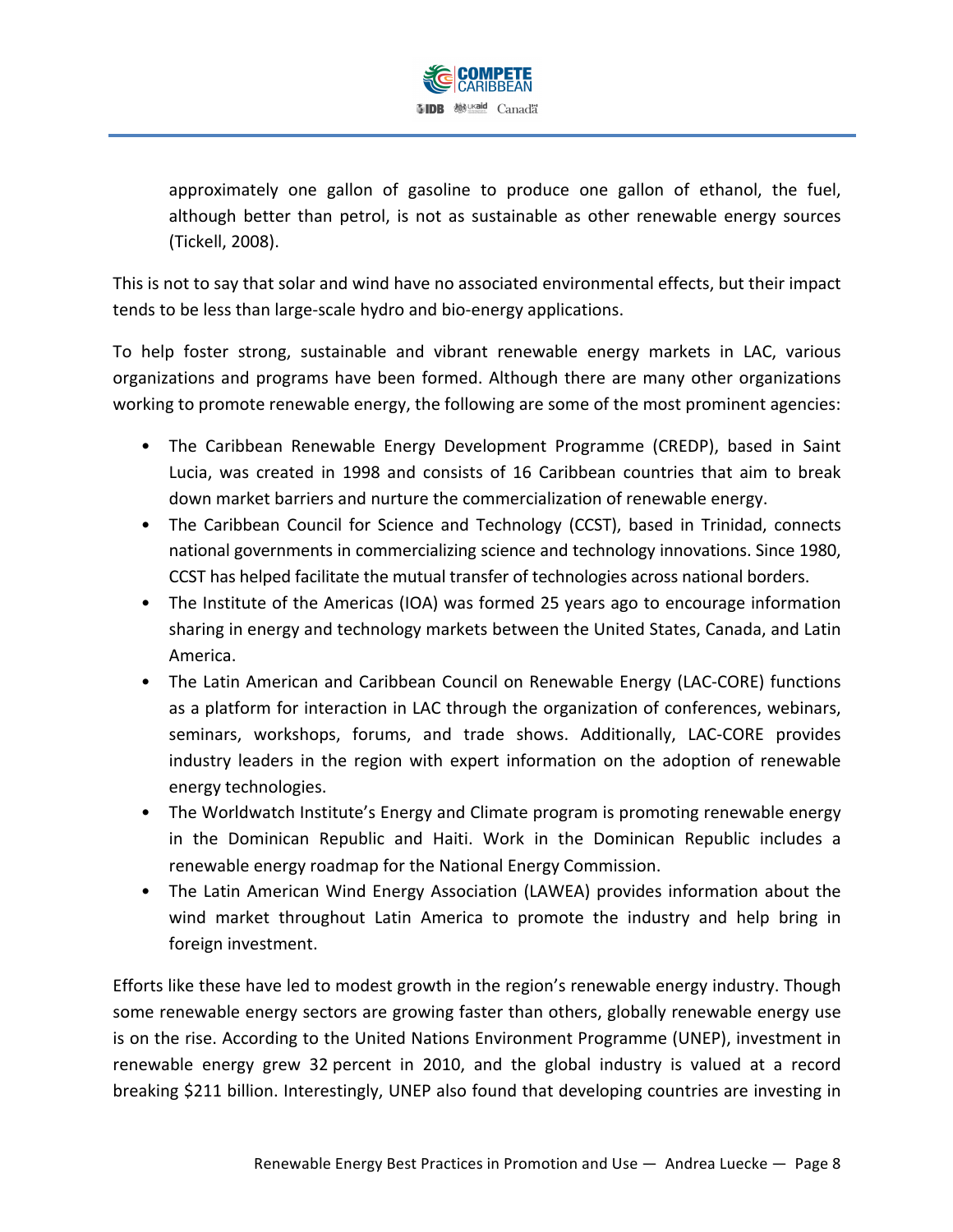

approximately one gallon of gasoline to produce one gallon of ethanol, the fuel, although better than petrol, is not as sustainable as other renewable energy sources (Tickell, 2008).

This is not to say that solar and wind have no associated environmental effects, but their impact tends to be less than large-scale hydro and bio-energy applications.

To help foster strong, sustainable and vibrant renewable energy markets in LAC, various organizations and programs have been formed. Although there are many other organizations working to promote renewable energy, the following are some of the most prominent agencies:

- The Caribbean Renewable Energy Development Programme (CREDP), based in Saint Lucia, was created in 1998 and consists of 16 Caribbean countries that aim to break down market barriers and nurture the commercialization of renewable energy.
- The Caribbean Council for Science and Technology (CCST), based in Trinidad, connects national governments in commercializing science and technology innovations. Since 1980, CCST has helped facilitate the mutual transfer of technologies across national borders.
- The Institute of the Americas (IOA) was formed 25 years ago to encourage information sharing in energy and technology markets between the United States, Canada, and Latin America.
- The Latin American and Caribbean Council on Renewable Energy (LAC-CORE) functions as a platform for interaction in LAC through the organization of conferences, webinars, seminars, workshops, forums, and trade shows. Additionally, LAC-CORE provides industry leaders in the region with expert information on the adoption of renewable energy technologies.
- The Worldwatch Institute's Energy and Climate program is promoting renewable energy in the Dominican Republic and Haiti. Work in the Dominican Republic includes a renewable energy roadmap for the National Energy Commission.
- The Latin American Wind Energy Association (LAWEA) provides information about the wind market throughout Latin America to promote the industry and help bring in foreign investment.

Efforts like these have led to modest growth in the region's renewable energy industry. Though some renewable energy sectors are growing faster than others, globally renewable energy use is on the rise. According to the United Nations Environment Programme (UNEP), investment in renewable energy grew 32 percent in 2010, and the global industry is valued at a record breaking \$211 billion. Interestingly, UNEP also found that developing countries are investing in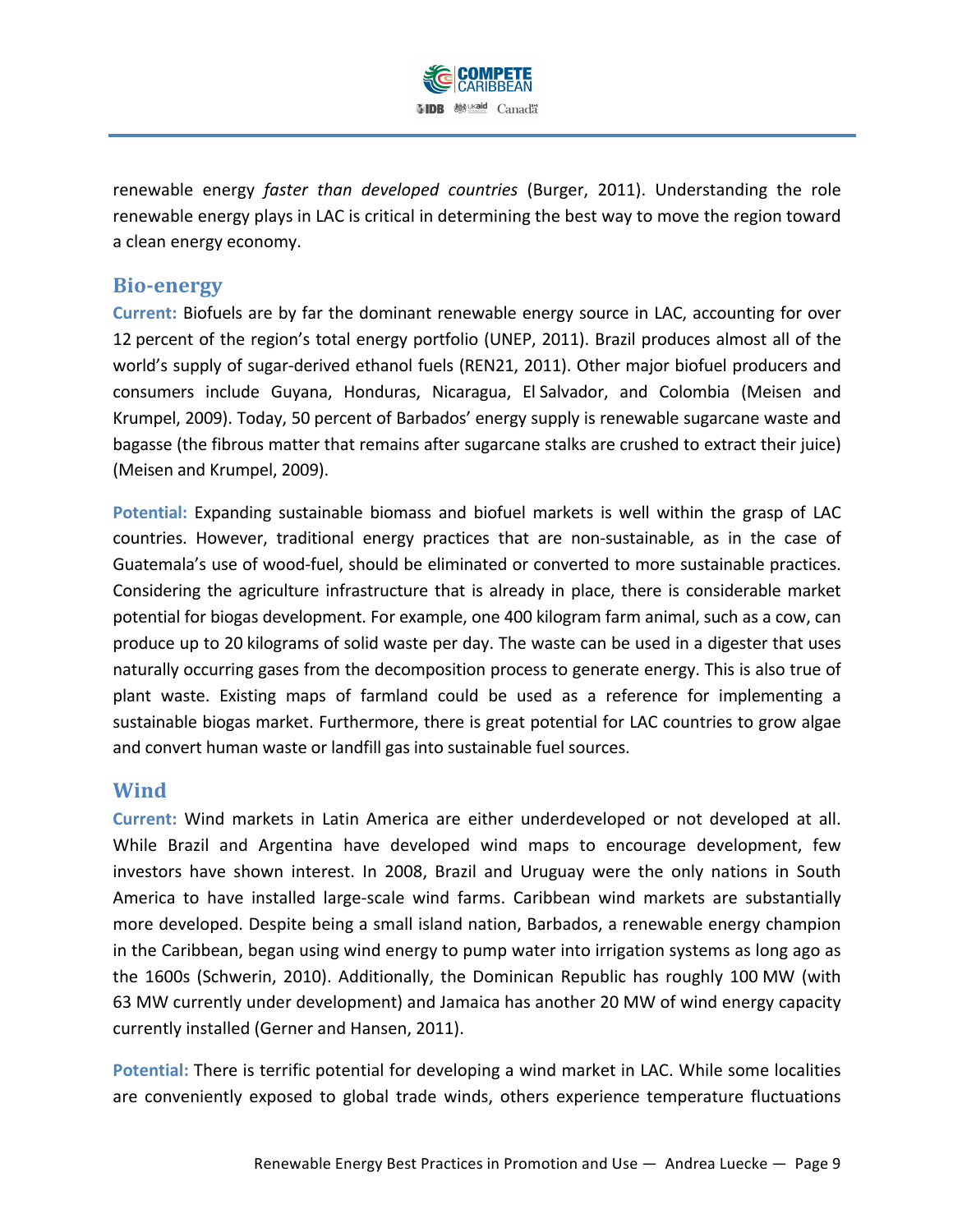

renewable energy *faster than developed countries* (Burger, 2011). Understanding the role renewable energy plays in LAC is critical in determining the best way to move the region toward a clean energy economy.

#### **Bio?energy(**

Current: Biofuels are by far the dominant renewable energy source in LAC, accounting for over 12 percent of the region's total energy portfolio (UNEP, 2011). Brazil produces almost all of the world's supply of sugar-derived ethanol fuels (REN21, 2011). Other major biofuel producers and consumers include Guyana, Honduras, Nicaragua, El Salvador, and Colombia (Meisen and Krumpel, 2009). Today, 50 percent of Barbados' energy supply is renewable sugarcane waste and bagasse (the fibrous matter that remains after sugarcane stalks are crushed to extract their juice) (Meisen and Krumpel, 2009).

Potential: Expanding sustainable biomass and biofuel markets is well within the grasp of LAC countries. However, traditional energy practices that are non-sustainable, as in the case of Guatemala's use of wood-fuel, should be eliminated or converted to more sustainable practices. Considering the agriculture infrastructure that is already in place, there is considerable market potential for biogas development. For example, one 400 kilogram farm animal, such as a cow, can produce up to 20 kilograms of solid waste per day. The waste can be used in a digester that uses naturally occurring gases from the decomposition process to generate energy. This is also true of plant waste. Existing maps of farmland could be used as a reference for implementing a sustainable biogas market. Furthermore, there is great potential for LAC countries to grow algae and convert human waste or landfill gas into sustainable fuel sources.

#### **Wind(**

**Current: Wind markets in Latin America are either underdeveloped or not developed at all.** While Brazil and Argentina have developed wind maps to encourage development, few investors have shown interest. In 2008, Brazil and Uruguay were the only nations in South America to have installed large-scale wind farms. Caribbean wind markets are substantially more developed. Despite being a small island nation, Barbados, a renewable energy champion in the Caribbean, began using wind energy to pump water into irrigation systems as long ago as the 1600s (Schwerin, 2010). Additionally, the Dominican Republic has roughly 100 MW (with 63 MW currently under development) and Jamaica has another 20 MW of wind energy capacity currently installed (Gerner and Hansen, 2011).

**Potential:** There is terrific potential for developing a wind market in LAC. While some localities are conveniently exposed to global trade winds, others experience temperature fluctuations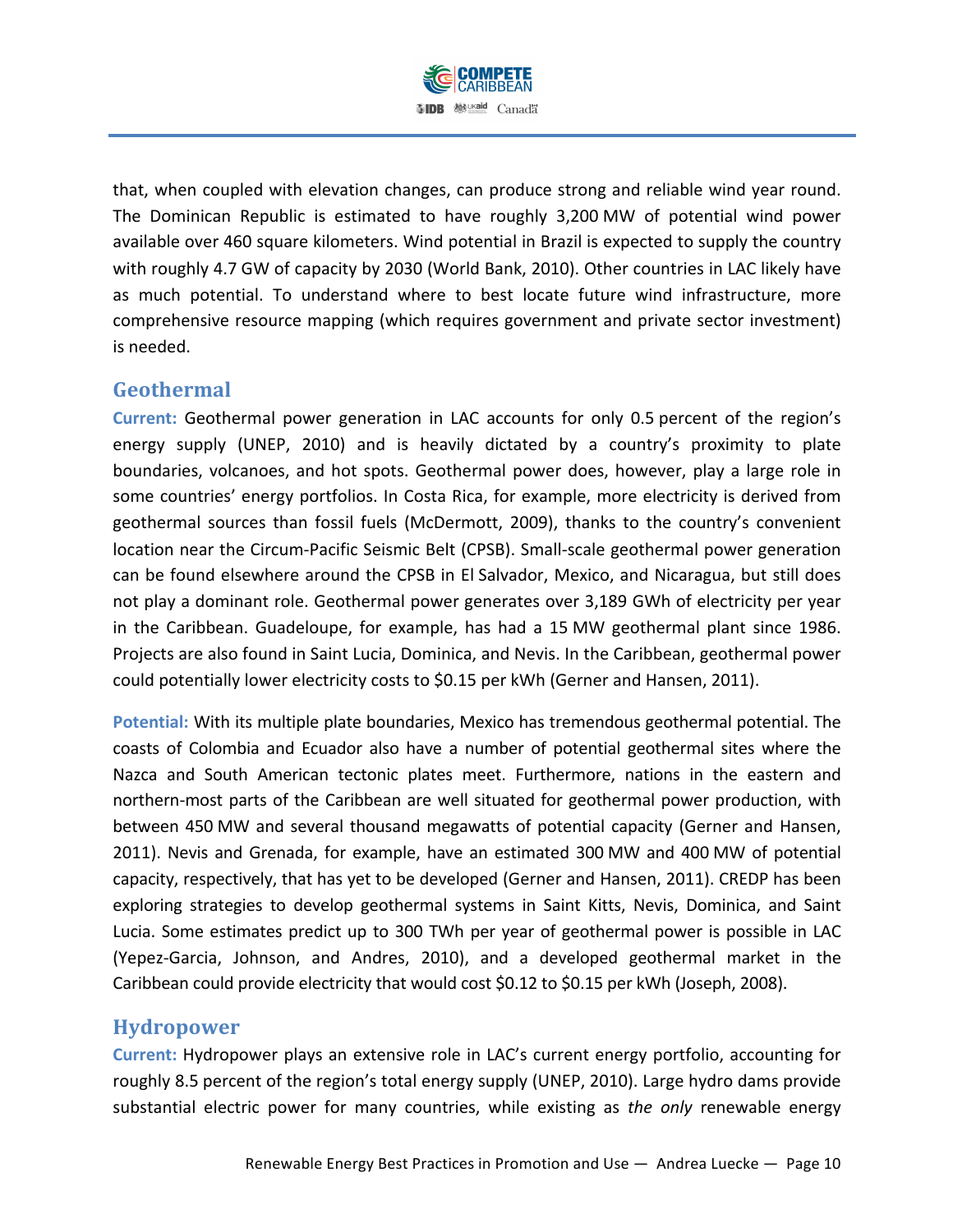

that, when coupled with elevation changes, can produce strong and reliable wind year round. The Dominican Republic is estimated to have roughly 3,200 MW of potential wind power available over 460 square kilometers. Wind potential in Brazil is expected to supply the country with roughly 4.7 GW of capacity by 2030 (World Bank, 2010). Other countries in LAC likely have as much potential. To understand where to best locate future wind infrastructure, more comprehensive resource mapping (which requires government and private sector investment) is needed.

## **Geothermal(**

Current: Geothermal power generation in LAC accounts for only 0.5 percent of the region's energy supply (UNEP, 2010) and is heavily dictated by a country's proximity to plate boundaries, volcanoes, and hot spots. Geothermal power does, however, play a large role in some countries' energy portfolios. In Costa Rica, for example, more electricity is derived from geothermal sources than fossil fuels (McDermott, 2009), thanks to the country's convenient location near the Circum-Pacific Seismic Belt (CPSB). Small-scale geothermal power generation can be found elsewhere around the CPSB in El Salvador, Mexico, and Nicaragua, but still does not play a dominant role. Geothermal power generates over 3,189 GWh of electricity per year in the Caribbean. Guadeloupe, for example, has had a 15 MW geothermal plant since 1986. Projects are also found in Saint Lucia, Dominica, and Nevis. In the Caribbean, geothermal power could potentially lower electricity costs to \$0.15 per kWh (Gerner and Hansen, 2011).

**Potential: With its multiple plate boundaries, Mexico has tremendous geothermal potential. The** coasts of Colombia and Ecuador also have a number of potential geothermal sites where the Nazca and South American tectonic plates meet. Furthermore, nations in the eastern and northern-most parts of the Caribbean are well situated for geothermal power production, with between 450 MW and several thousand megawatts of potential capacity (Gerner and Hansen, 2011). Nevis and Grenada, for example, have an estimated 300 MW and 400 MW of potential capacity, respectively, that has yet to be developed (Gerner and Hansen, 2011). CREDP has been exploring strategies to develop geothermal systems in Saint Kitts, Nevis, Dominica, and Saint Lucia. Some estimates predict up to 300 TWh per year of geothermal power is possible in LAC (Yepez-Garcia, Johnson, and Andres, 2010), and a developed geothermal market in the Caribbean could provide electricity that would cost \$0.12 to \$0.15 per kWh (Joseph, 2008).

#### **Hydropower**

**Current: Hydropower plays an extensive role in LAC's current energy portfolio, accounting for** roughly 8.5 percent of the region's total energy supply (UNEP, 2010). Large hydro dams provide substantial electric power for many countries, while existing as *the only* renewable energy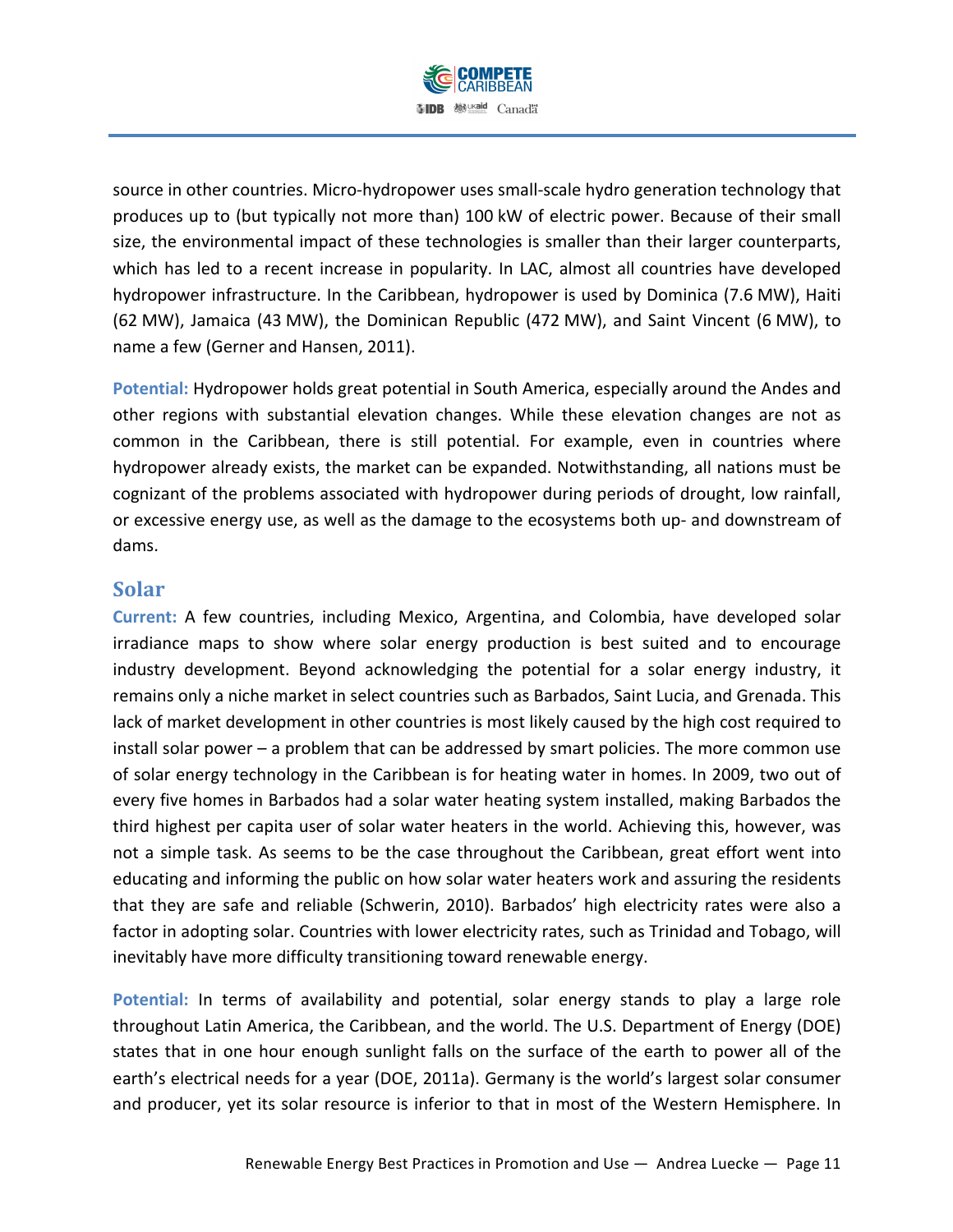

source in other countries. Micro-hydropower uses small-scale hydro generation technology that produces up to (but typically not more than) 100 kW of electric power. Because of their small size, the environmental impact of these technologies is smaller than their larger counterparts, which has led to a recent increase in popularity. In LAC, almost all countries have developed hydropower infrastructure. In the Caribbean, hydropower is used by Dominica (7.6 MW), Haiti (62 MW), Jamaica (43 MW), the Dominican Republic (472 MW), and Saint Vincent (6 MW), to name a few (Gerner and Hansen, 2011).

**Potential: Hydropower holds great potential in South America, especially around the Andes and \,** other regions with substantial elevation changes. While these elevation changes are not as common in the Caribbean, there is still potential. For example, even in countries where hydropower already exists, the market can be expanded. Notwithstanding, all nations must be cognizant of the problems associated with hydropower during periods of drought, low rainfall, or excessive energy use, as well as the damage to the ecosystems both up- and downstream of dams.

#### **Solar(**

**Current: A few countries, including Mexico, Argentina, and Colombia, have developed solar** irradiance maps to show where solar energy production is best suited and to encourage industry development. Beyond acknowledging the potential for a solar energy industry, it remains only a niche market in select countries such as Barbados, Saint Lucia, and Grenada. This lack of market development in other countries is most likely caused by the high cost required to install solar power – a problem that can be addressed by smart policies. The more common use of solar energy technology in the Caribbean is for heating water in homes. In 2009, two out of every five homes in Barbados had a solar water heating system installed, making Barbados the third highest per capita user of solar water heaters in the world. Achieving this, however, was not a simple task. As seems to be the case throughout the Caribbean, great effort went into educating and informing the public on how solar water heaters work and assuring the residents that they are safe and reliable (Schwerin, 2010). Barbados' high electricity rates were also a factor in adopting solar. Countries with lower electricity rates, such as Trinidad and Tobago, will inevitably have more difficulty transitioning toward renewable energy.

Potential: In terms of availability and potential, solar energy stands to play a large role throughout Latin America, the Caribbean, and the world. The U.S. Department of Energy (DOE) states that in one hour enough sunlight falls on the surface of the earth to power all of the earth's electrical needs for a year (DOE, 2011a). Germany is the world's largest solar consumer and producer, yet its solar resource is inferior to that in most of the Western Hemisphere. In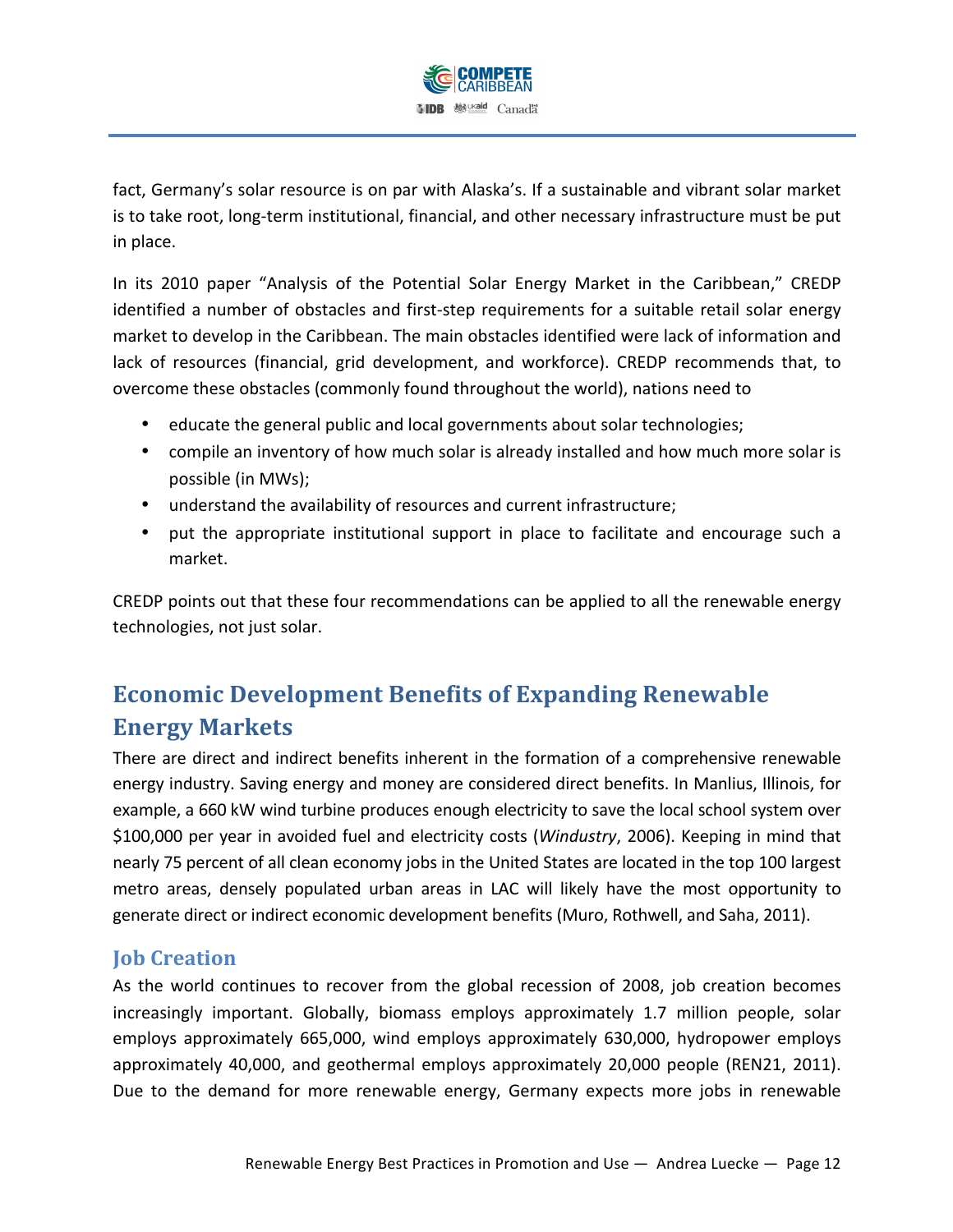

fact, Germany's solar resource is on par with Alaska's. If a sustainable and vibrant solar market is to take root, long-term institutional, financial, and other necessary infrastructure must be put in place.

In its 2010 paper "Analysis of the Potential Solar Energy Market in the Caribbean," CREDP identified a number of obstacles and first-step requirements for a suitable retail solar energy market to develop in the Caribbean. The main obstacles identified were lack of information and lack of resources (financial, grid development, and workforce). CREDP recommends that, to overcome these obstacles (commonly found throughout the world), nations need to

- educate the general public and local governments about solar technologies;
- compile an inventory of how much solar is already installed and how much more solar is possible (in MWs);
- understand the availability of resources and current infrastructure;
- put the appropriate institutional support in place to facilitate and encourage such a market.

CREDP points out that these four recommendations can be applied to all the renewable energy technologies, not just solar.

# **Economic Development Benefits of Expanding Renewable Energy(Markets**

There are direct and indirect benefits inherent in the formation of a comprehensive renewable energy industry. Saving energy and money are considered direct benefits. In Manlius, Illinois, for example, a 660 kW wind turbine produces enough electricity to save the local school system over \$100,000 per year in avoided fuel and electricity costs (*Windustry*, 2006). Keeping in mind that nearly 75 percent of all clean economy jobs in the United States are located in the top 100 largest metro areas, densely populated urban areas in LAC will likely have the most opportunity to generate direct or indirect economic development benefits (Muro, Rothwell, and Saha, 2011).

## **Job Creation**

As the world continues to recover from the global recession of 2008, job creation becomes increasingly important. Globally, biomass employs approximately  $1.7$  million people, solar employs approximately 665,000, wind employs approximately 630,000, hydropower employs approximately 40,000, and geothermal employs approximately 20,000 people (REN21, 2011). Due to the demand for more renewable energy, Germany expects more jobs in renewable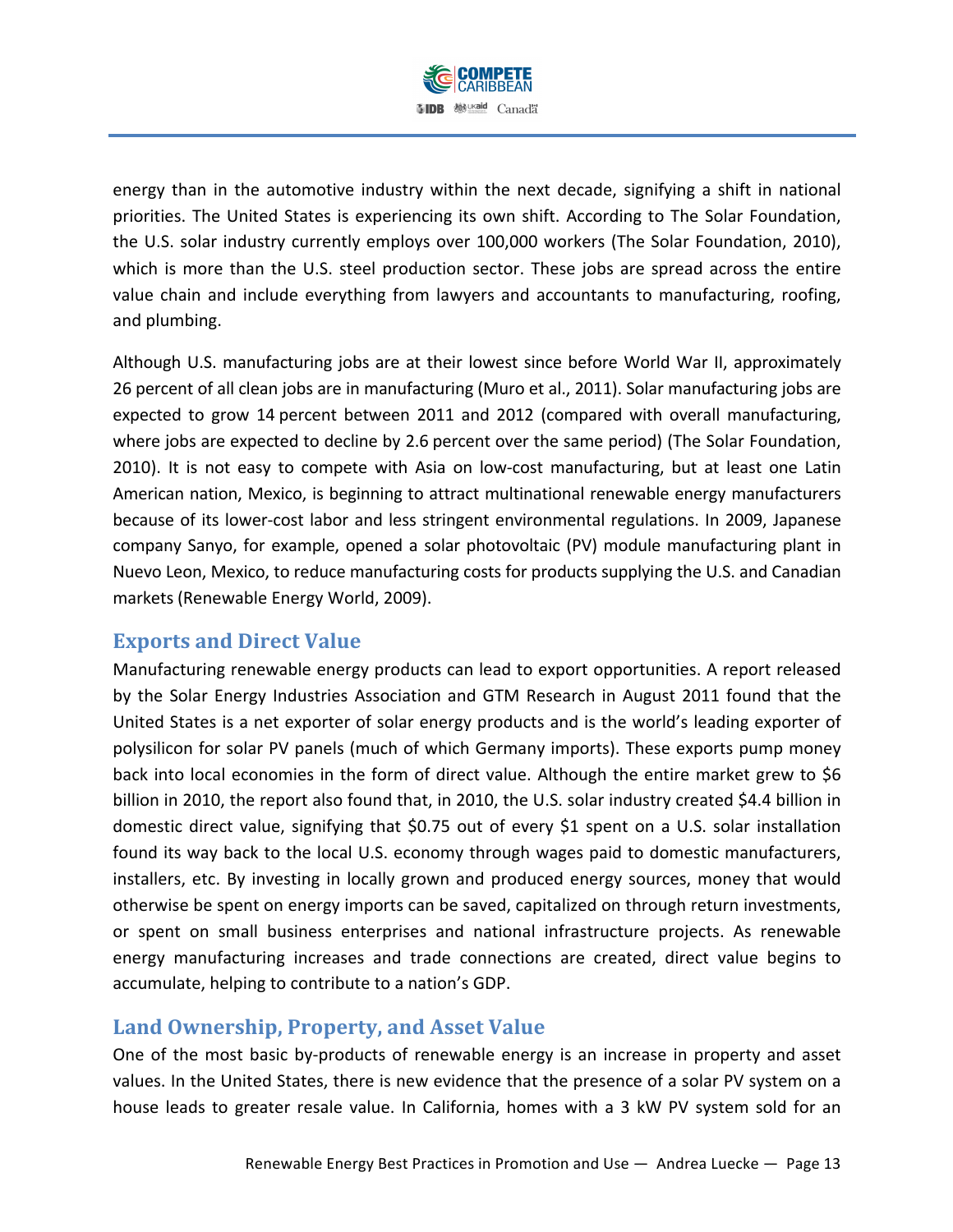

energy than in the automotive industry within the next decade, signifying a shift in national priorities. The United States is experiencing its own shift. According to The Solar Foundation, the U.S. solar industry currently employs over 100,000 workers (The Solar Foundation, 2010), which is more than the U.S. steel production sector. These jobs are spread across the entire value chain and include everything from lawyers and accountants to manufacturing, roofing, and plumbing.

Although U.S. manufacturing jobs are at their lowest since before World War II, approximately 26 percent of all clean jobs are in manufacturing (Muro et al., 2011). Solar manufacturing jobs are expected to grow 14 percent between 2011 and 2012 (compared with overall manufacturing, where jobs are expected to decline by 2.6 percent over the same period) (The Solar Foundation, 2010). It is not easy to compete with Asia on low-cost manufacturing, but at least one Latin American nation, Mexico, is beginning to attract multinational renewable energy manufacturers because of its lower-cost labor and less stringent environmental regulations. In 2009, Japanese company Sanyo, for example, opened a solar photovoltaic (PV) module manufacturing plant in Nuevo Leon, Mexico, to reduce manufacturing costs for products supplying the U.S. and Canadian markets (Renewable Energy World, 2009).

#### **Exports** and Direct Value

Manufacturing renewable energy products can lead to export opportunities. A report released by the Solar Energy Industries Association and GTM Research in August 2011 found that the United States is a net exporter of solar energy products and is the world's leading exporter of polysilicon for solar PV panels (much of which Germany imports). These exports pump money back into local economies in the form of direct value. Although the entire market grew to \$6 billion in 2010, the report also found that, in 2010, the U.S. solar industry created \$4.4 billion in domestic direct value, signifying that \$0.75 out of every \$1 spent on a U.S. solar installation found its way back to the local U.S. economy through wages paid to domestic manufacturers, installers, etc. By investing in locally grown and produced energy sources, money that would otherwise be spent on energy imports can be saved, capitalized on through return investments, or spent on small business enterprises and national infrastructure projects. As renewable energy manufacturing increases and trade connections are created, direct value begins to accumulate, helping to contribute to a nation's GDP.

## **Land Ownership, Property, and Asset Value**

One of the most basic by-products of renewable energy is an increase in property and asset values. In the United States, there is new evidence that the presence of a solar PV system on a house leads to greater resale value. In California, homes with a 3 kW PV system sold for an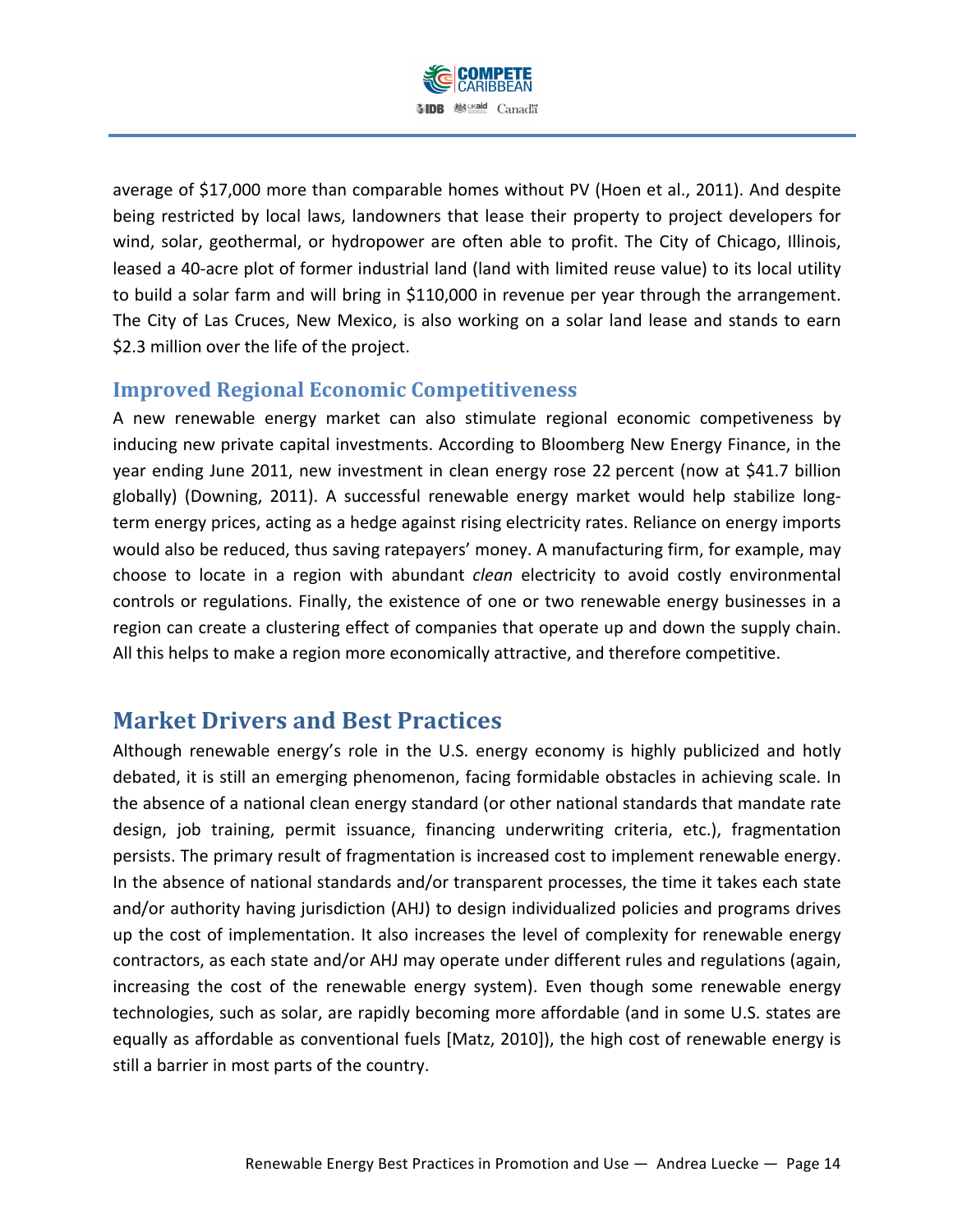

average of \$17,000 more than comparable homes without PV (Hoen et al., 2011). And despite being restricted by local laws, landowners that lease their property to project developers for wind, solar, geothermal, or hydropower are often able to profit. The City of Chicago, Illinois, leased a 40-acre plot of former industrial land (land with limited reuse value) to its local utility to build a solar farm and will bring in \$110,000 in revenue per year through the arrangement. The City of Las Cruces, New Mexico, is also working on a solar land lease and stands to earn \$2.3 million over the life of the project.

## **Improved Regional Economic Competitiveness**

A new renewable energy market can also stimulate regional economic competiveness by inducing new private capital investments. According to Bloomberg New Energy Finance, in the year ending June 2011, new investment in clean energy rose 22 percent (now at \$41.7 billion globally) (Downing, 2011). A successful renewable energy market would help stabilize longterm energy prices, acting as a hedge against rising electricity rates. Reliance on energy imports would also be reduced, thus saving ratepayers' money. A manufacturing firm, for example, may choose to locate in a region with abundant *clean* electricity to avoid costly environmental controls or regulations. Finally, the existence of one or two renewable energy businesses in a region can create a clustering effect of companies that operate up and down the supply chain. All this helps to make a region more economically attractive, and therefore competitive.

## **Market Drivers and Best Practices**

Although renewable energy's role in the U.S. energy economy is highly publicized and hotly debated, it is still an emerging phenomenon, facing formidable obstacles in achieving scale. In the absence of a national clean energy standard (or other national standards that mandate rate design, job training, permit issuance, financing underwriting criteria, etc.), fragmentation persists. The primary result of fragmentation is increased cost to implement renewable energy. In the absence of national standards and/or transparent processes, the time it takes each state and/or authority having jurisdiction (AHJ) to design individualized policies and programs drives up the cost of implementation. It also increases the level of complexity for renewable energy contractors, as each state and/or AHJ may operate under different rules and regulations (again, increasing the cost of the renewable energy system). Even though some renewable energy technologies, such as solar, are rapidly becoming more affordable (and in some U.S. states are equally as affordable as conventional fuels [Matz, 2010]), the high cost of renewable energy is still a barrier in most parts of the country.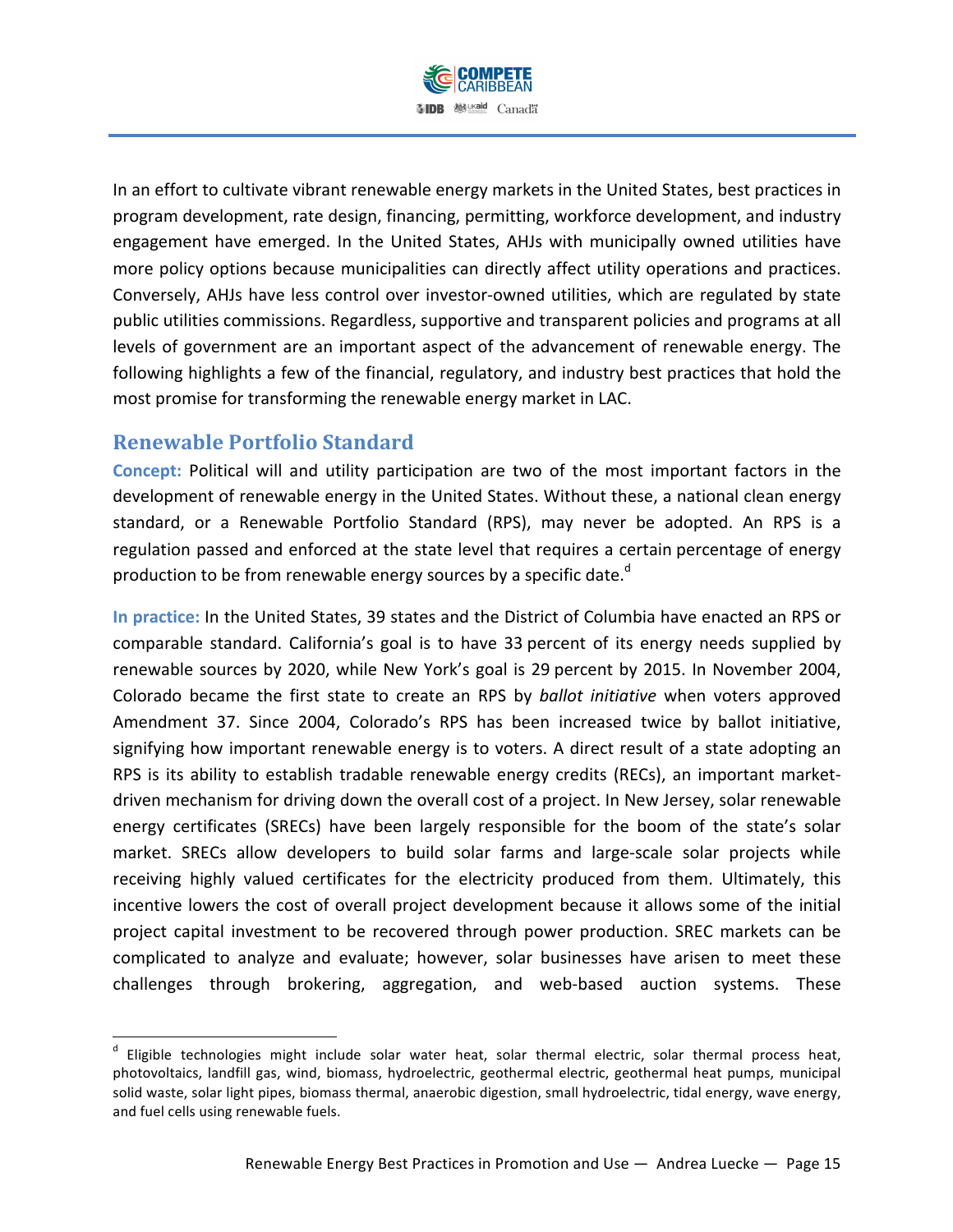

In an effort to cultivate vibrant renewable energy markets in the United States, best practices in program development, rate design, financing, permitting, workforce development, and industry engagement have emerged. In the United States, AHJs with municipally owned utilities have more policy options because municipalities can directly affect utility operations and practices. Conversely, AHJs have less control over investor-owned utilities, which are regulated by state public utilities commissions. Regardless, supportive and transparent policies and programs at all levels of government are an important aspect of the advancement of renewable energy. The following highlights a few of the financial, regulatory, and industry best practices that hold the most promise for transforming the renewable energy market in LAC.

## **Renewable Portfolio Standard**

!!!!!!!!!!!!!!!!!!!!!!!!!!!!!!!!!!!!!!!!!!!!!!!!!!!!!!!!!!!!

**Concept:** Political will and utility participation are two of the most important factors in the development of renewable energy in the United States. Without these, a national clean energy standard, or a Renewable Portfolio Standard (RPS), may never be adopted. An RPS is a regulation passed and enforced at the state level that requires a certain percentage of energy production to be from renewable energy sources by a specific date.<sup>d</sup>

In practice: In the United States, 39 states and the District of Columbia have enacted an RPS or comparable standard. California's goal is to have 33 percent of its energy needs supplied by renewable sources by 2020, while New York's goal is 29 percent by 2015. In November 2004, Colorado became the first state to create an RPS by *ballot initiative* when voters approved Amendment 37. Since 2004, Colorado's RPS has been increased twice by ballot initiative, signifying how important renewable energy is to voters. A direct result of a state adopting an RPS is its ability to establish tradable renewable energy credits (RECs), an important marketdriven mechanism for driving down the overall cost of a project. In New Jersey, solar renewable energy certificates (SRECs) have been largely responsible for the boom of the state's solar market. SRECs allow developers to build solar farms and large-scale solar projects while receiving highly valued certificates for the electricity produced from them. Ultimately, this incentive lowers the cost of overall project development because it allows some of the initial project capital investment to be recovered through power production. SREC markets can be complicated to analyze and evaluate; however, solar businesses have arisen to meet these challenges through brokering, aggregation, and web-based auction systems. These

 $<sup>d</sup>$  Eligible technologies might include solar water heat, solar thermal electric, solar thermal process heat,</sup> photovoltaics, landfill gas, wind, biomass, hydroelectric, geothermal electric, geothermal heat pumps, municipal solid waste, solar light pipes, biomass thermal, anaerobic digestion, small hydroelectric, tidal energy, wave energy, and fuel cells using renewable fuels.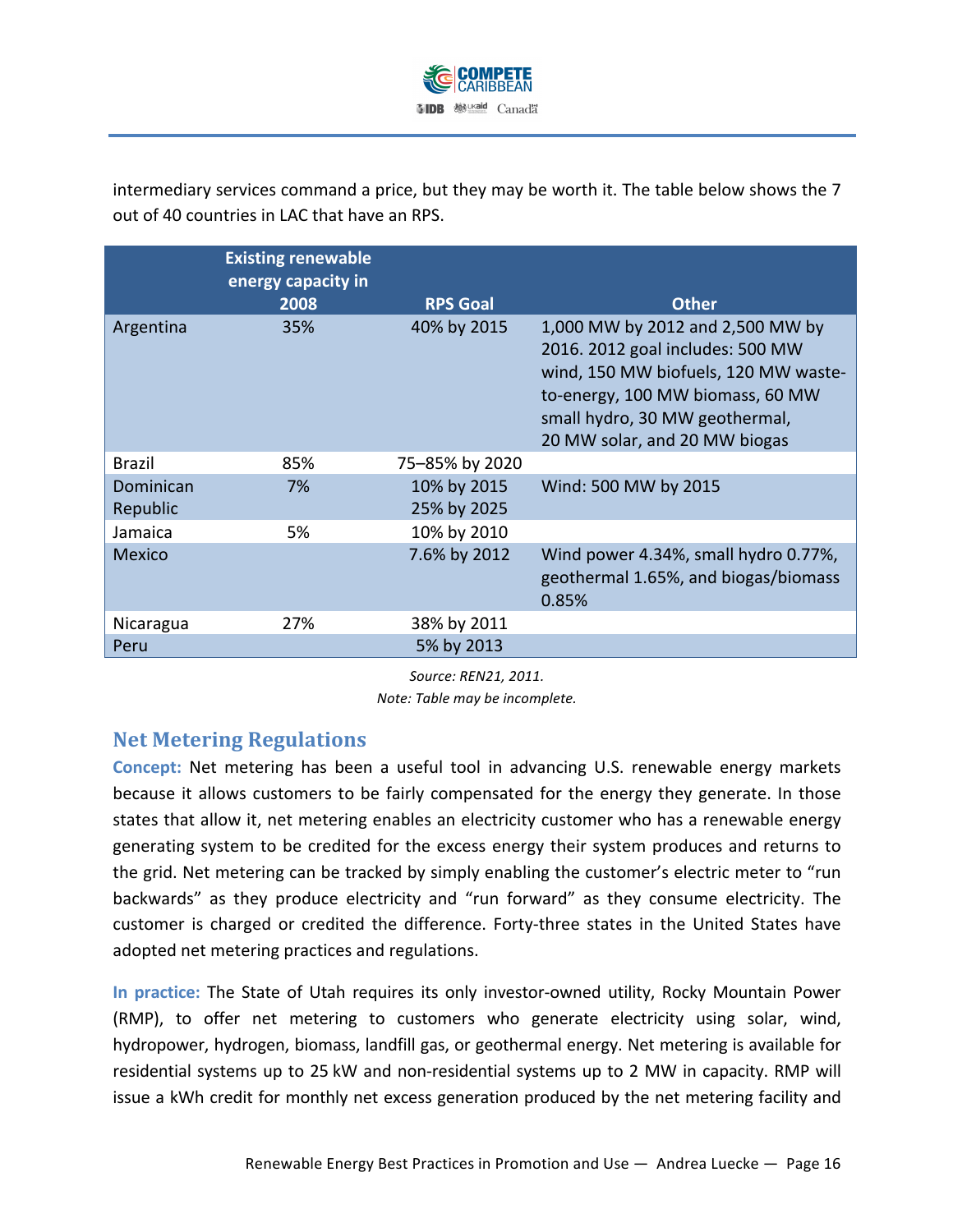

intermediary services command a price, but they may be worth it. The table below shows the 7 out of 40 countries in LAC that have an RPS.

|                       | <b>Existing renewable</b><br>energy capacity in<br>2008 | <b>RPS Goal</b>            | <b>Other</b>                                                                                                                                                                                                        |
|-----------------------|---------------------------------------------------------|----------------------------|---------------------------------------------------------------------------------------------------------------------------------------------------------------------------------------------------------------------|
| Argentina             | 35%                                                     | 40% by 2015                | 1,000 MW by 2012 and 2,500 MW by<br>2016. 2012 goal includes: 500 MW<br>wind, 150 MW biofuels, 120 MW waste-<br>to-energy, 100 MW biomass, 60 MW<br>small hydro, 30 MW geothermal,<br>20 MW solar, and 20 MW biogas |
| Brazil                | 85%                                                     | 75-85% by 2020             |                                                                                                                                                                                                                     |
| Dominican<br>Republic | 7%                                                      | 10% by 2015<br>25% by 2025 | Wind: 500 MW by 2015                                                                                                                                                                                                |
| Jamaica               | 5%                                                      | 10% by 2010                |                                                                                                                                                                                                                     |
| <b>Mexico</b>         |                                                         | 7.6% by 2012               | Wind power 4.34%, small hydro 0.77%,<br>geothermal 1.65%, and biogas/biomass<br>0.85%                                                                                                                               |
| Nicaragua             | 27%                                                     | 38% by 2011                |                                                                                                                                                                                                                     |
| Peru                  |                                                         | 5% by 2013                 |                                                                                                                                                                                                                     |

*Source:)REN21, 2011.*

*Note: Table may be incomplete.* 

## **Net Metering Regulations**

**Concept:** Net metering has been a useful tool in advancing U.S. renewable energy markets because it allows customers to be fairly compensated for the energy they generate. In those states that allow it, net metering enables an electricity customer who has a renewable energy generating system to be credited for the excess energy their system produces and returns to the grid. Net metering can be tracked by simply enabling the customer's electric meter to "run backwards" as they produce electricity and "run forward" as they consume electricity. The customer is charged or credited the difference. Forty-three states in the United States have adopted net metering practices and regulations.

In practice: The State of Utah requires its only investor-owned utility, Rocky Mountain Power (RMP), to offer net metering to customers who generate electricity using solar, wind, hydropower, hydrogen, biomass, landfill gas, or geothermal energy. Net metering is available for residential systems up to 25 kW and non-residential systems up to 2 MW in capacity. RMP will issue a kWh credit for monthly net excess generation produced by the net metering facility and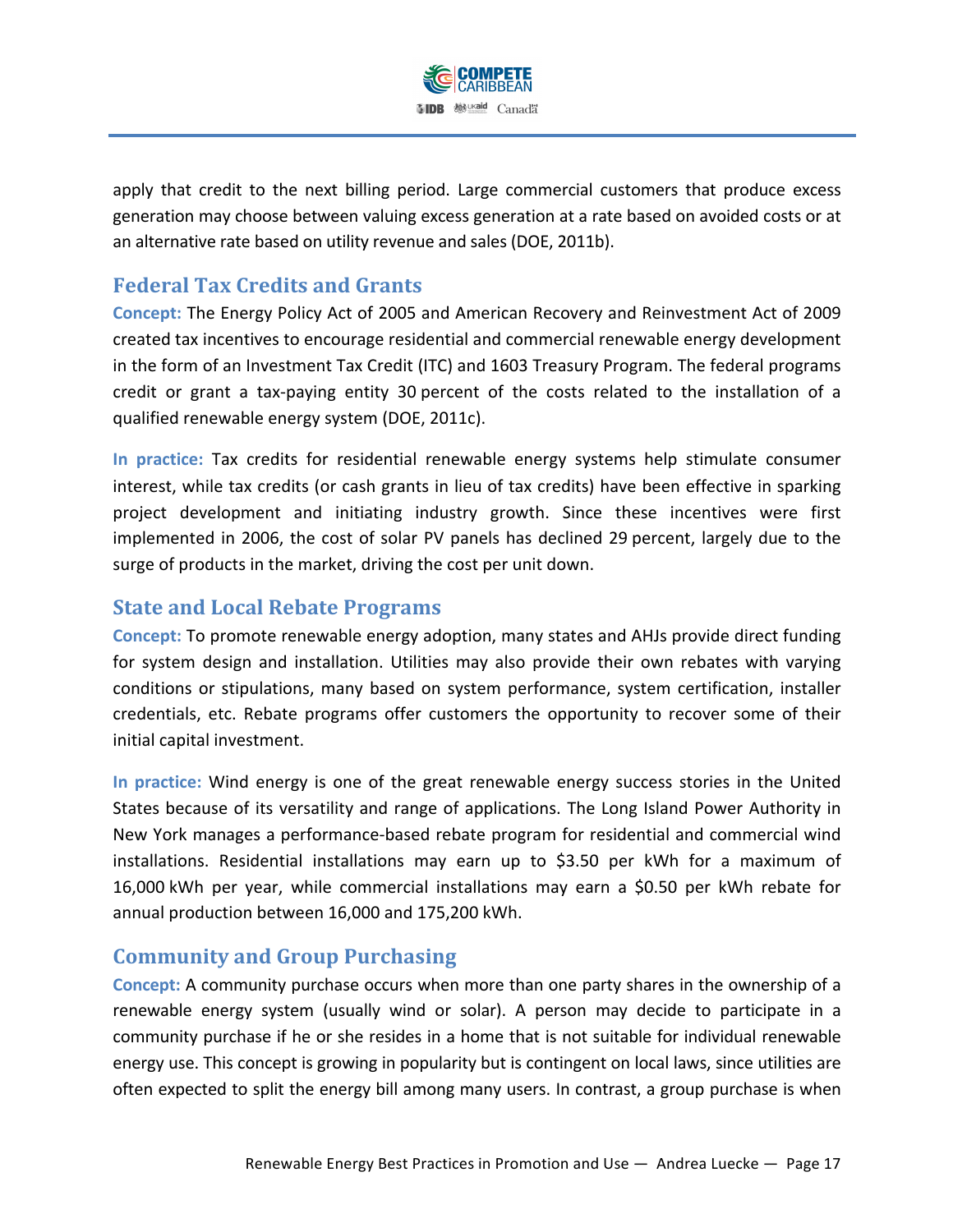

apply that credit to the next billing period. Large commercial customers that produce excess generation may choose between valuing excess generation at a rate based on avoided costs or at an alternative rate based on utility revenue and sales (DOE, 2011b).

## **Federal Tax Credits and Grants**

**Concept: The Energy Policy Act of 2005 and American Recovery and Reinvestment Act of 2009** created tax incentives to encourage residential and commercial renewable energy development in the form of an Investment Tax Credit (ITC) and 1603 Treasury Program. The federal programs credit or grant a tax-paying entity 30 percent of the costs related to the installation of a qualified renewable energy system (DOE, 2011c).

In practice: Tax credits for residential renewable energy systems help stimulate consumer interest, while tax credits (or cash grants in lieu of tax credits) have been effective in sparking project development and initiating industry growth. Since these incentives were first implemented in 2006, the cost of solar PV panels has declined 29 percent, largely due to the surge of products in the market, driving the cost per unit down.

## **State and Local Rebate Programs**

**Concept:** To promote renewable energy adoption, many states and AHJs provide direct funding for system design and installation. Utilities may also provide their own rebates with varying conditions or stipulations, many based on system performance, system certification, installer credentials, etc. Rebate programs offer customers the opportunity to recover some of their initial capital investment.

In practice: Wind energy is one of the great renewable energy success stories in the United States because of its versatility and range of applications. The Long Island Power Authority in New York manages a performance-based rebate program for residential and commercial wind installations. Residential installations may earn up to \$3.50 per kWh for a maximum of 16,000 kWh per year, while commercial installations may earn a \$0.50 per kWh rebate for annual production between 16,000 and 175,200 kWh.

## **Community and Group Purchasing**

**Concept:** A community purchase occurs when more than one party shares in the ownership of a renewable energy system (usually wind or solar). A person may decide to participate in a community purchase if he or she resides in a home that is not suitable for individual renewable energy use. This concept is growing in popularity but is contingent on local laws, since utilities are often expected to split the energy bill among many users. In contrast, a group purchase is when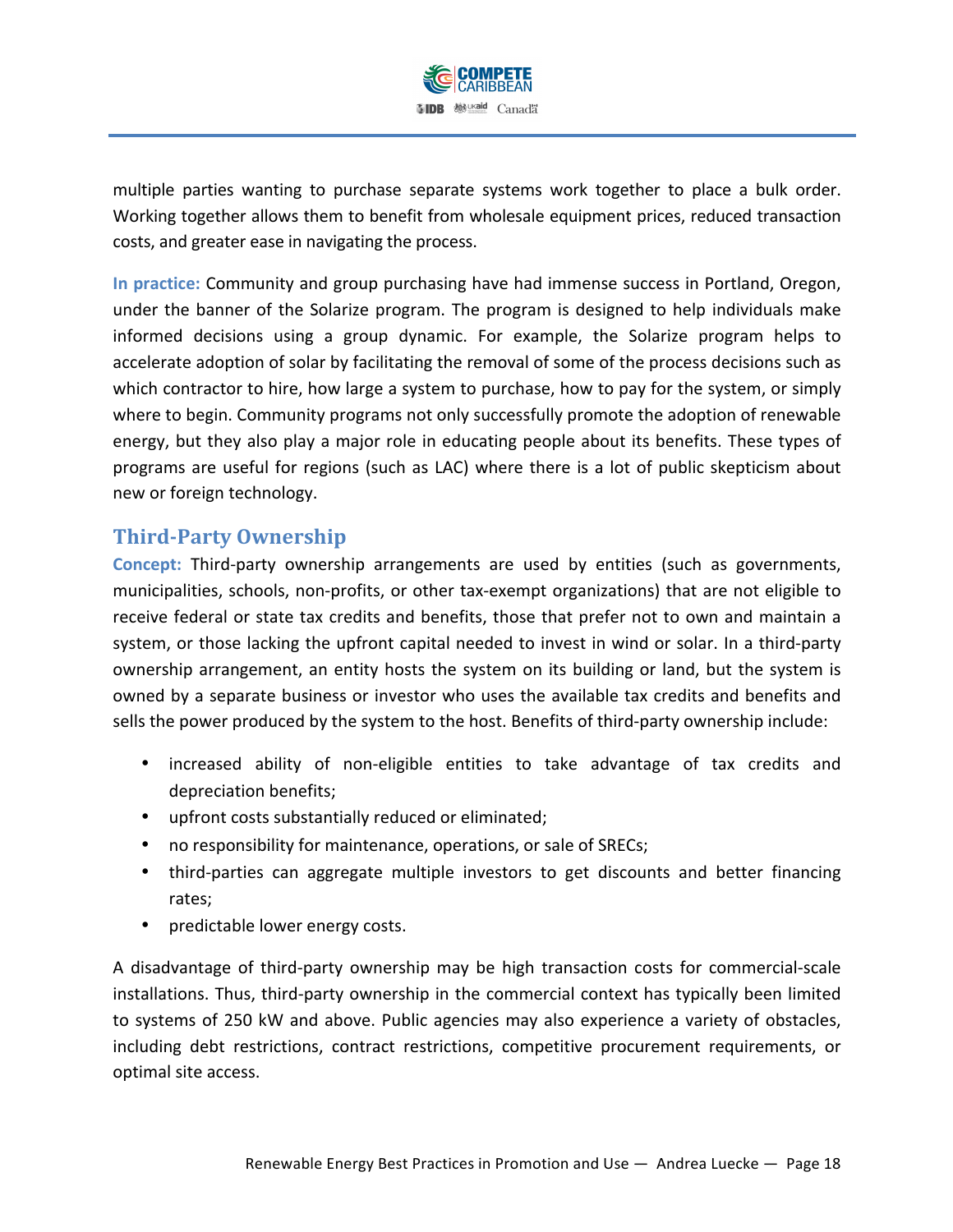

multiple parties wanting to purchase separate systems work together to place a bulk order. Working together allows them to benefit from wholesale equipment prices, reduced transaction costs, and greater ease in navigating the process.

**In practice:** Community and group purchasing have had immense success in Portland, Oregon, under the banner of the Solarize program. The program is designed to help individuals make informed decisions using a group dynamic. For example, the Solarize program helps to accelerate adoption of solar by facilitating the removal of some of the process decisions such as which contractor to hire, how large a system to purchase, how to pay for the system, or simply where to begin. Community programs not only successfully promote the adoption of renewable energy, but they also play a major role in educating people about its benefits. These types of programs are useful for regions (such as LAC) where there is a lot of public skepticism about new or foreign technology.

## **Third?Party Ownership**

**Concept:** Third-party ownership arrangements are used by entities (such as governments, municipalities, schools, non-profits, or other tax-exempt organizations) that are not eligible to receive federal or state tax credits and benefits, those that prefer not to own and maintain a system, or those lacking the upfront capital needed to invest in wind or solar. In a third-party ownership arrangement, an entity hosts the system on its building or land, but the system is owned by a separate business or investor who uses the available tax credits and benefits and sells the power produced by the system to the host. Benefits of third-party ownership include:

- increased ability of non-eligible entities to take advantage of tax credits and depreciation benefits;
- upfront costs substantially reduced or eliminated;
- no responsibility for maintenance, operations, or sale of SRECs;
- third-parties can aggregate multiple investors to get discounts and better financing rates;
- predictable lower energy costs.

A disadvantage of third-party ownership may be high transaction costs for commercial-scale installations. Thus, third-party ownership in the commercial context has typically been limited to systems of 250 kW and above. Public agencies may also experience a variety of obstacles, including debt restrictions, contract restrictions, competitive procurement requirements, or optimal site access.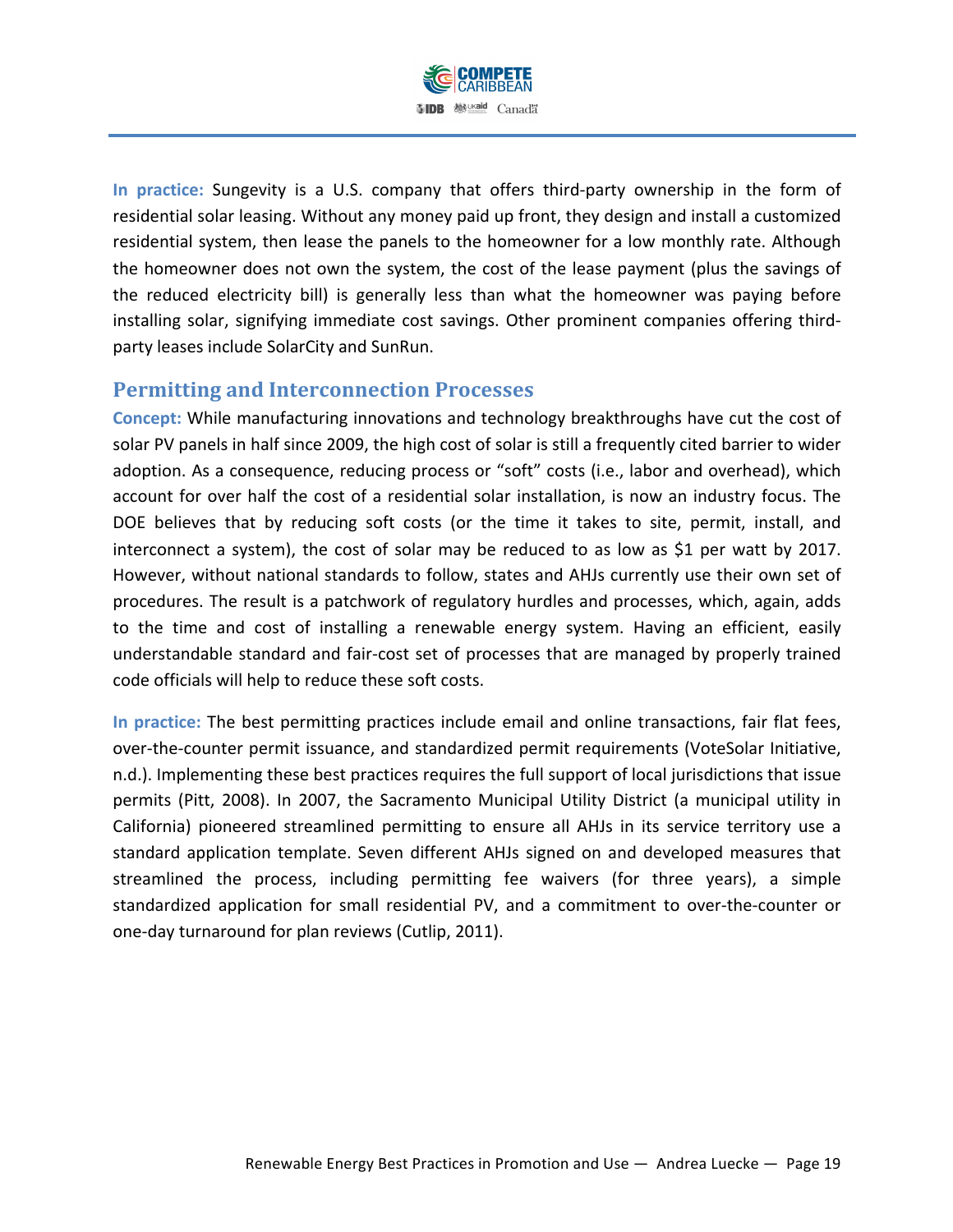

In practice: Sungevity is a U.S. company that offers third-party ownership in the form of residential solar leasing. Without any money paid up front, they design and install a customized residential system, then lease the panels to the homeowner for a low monthly rate. Although the homeowner does not own the system, the cost of the lease payment (plus the savings of the reduced electricity bill) is generally less than what the homeowner was paying before installing solar, signifying immediate cost savings. Other prominent companies offering thirdparty leases include SolarCity and SunRun.

## **Permitting and Interconnection Processes**

**Concept: While manufacturing innovations and technology breakthroughs have cut the cost of** solar PV panels in half since 2009, the high cost of solar is still a frequently cited barrier to wider adoption. As a consequence, reducing process or "soft" costs (i.e., labor and overhead), which account for over half the cost of a residential solar installation, is now an industry focus. The DOE believes that by reducing soft costs (or the time it takes to site, permit, install, and interconnect a system), the cost of solar may be reduced to as low as \$1 per watt by 2017. However, without national standards to follow, states and AHJs currently use their own set of procedures. The result is a patchwork of regulatory hurdles and processes, which, again, adds to the time and cost of installing a renewable energy system. Having an efficient, easily understandable standard and fair-cost set of processes that are managed by properly trained code officials will help to reduce these soft costs.

In practice: The best permitting practices include email and online transactions, fair flat fees, over-the-counter permit issuance, and standardized permit requirements (VoteSolar Initiative, n.d.). Implementing these best practices requires the full support of local jurisdictions that issue permits (Pitt, 2008). In 2007, the Sacramento Municipal Utility District (a municipal utility in California) pioneered streamlined permitting to ensure all AHJs in its service territory use a standard application template. Seven different AHJs signed on and developed measures that streamlined the process, including permitting fee waivers (for three years), a simple standardized application for small residential PV, and a commitment to over-the-counter or one-day turnaround for plan reviews (Cutlip, 2011).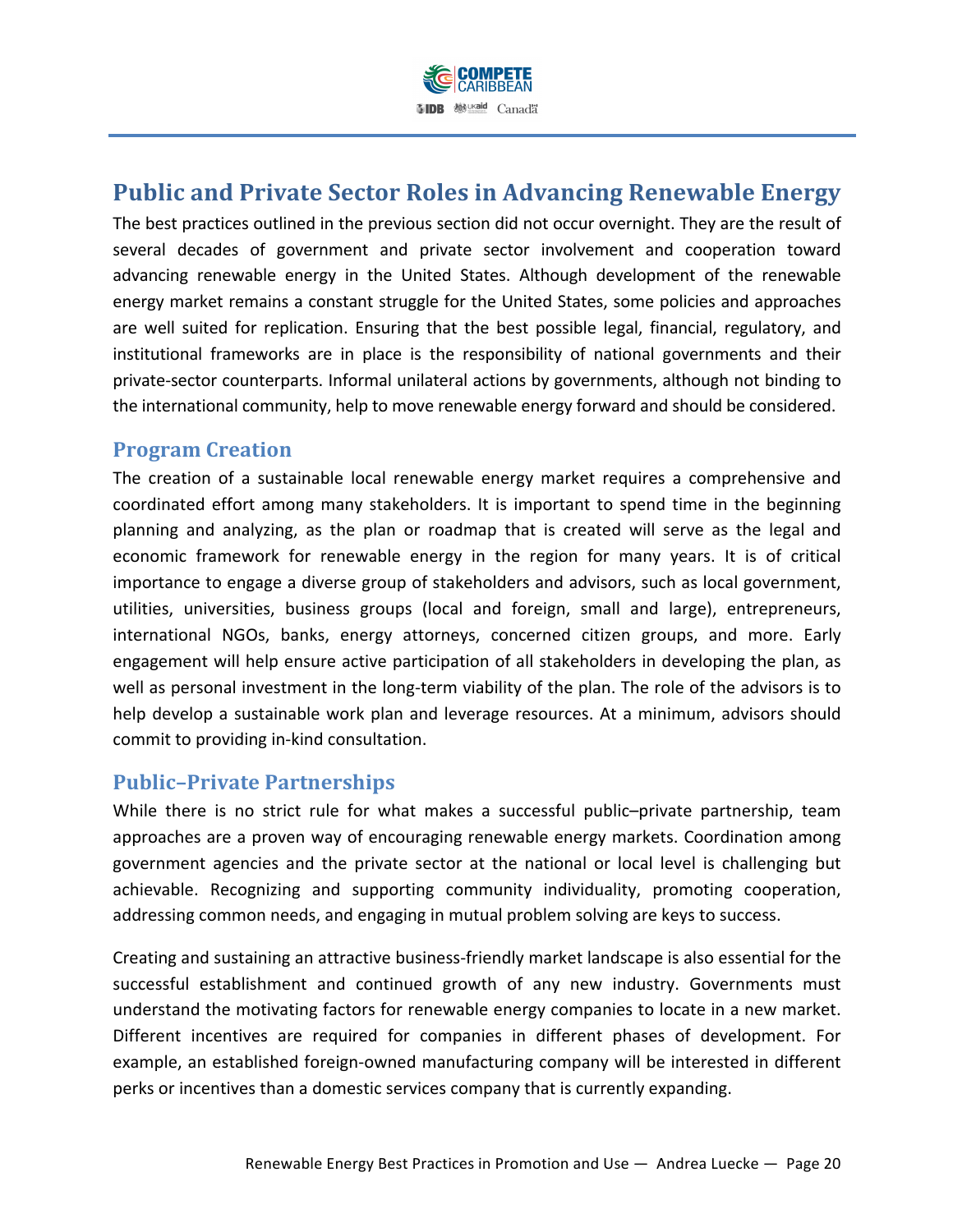

# **Public and Private Sector Roles in Advancing Renewable Energy**

The best practices outlined in the previous section did not occur overnight. They are the result of several decades of government and private sector involvement and cooperation toward advancing renewable energy in the United States. Although development of the renewable energy market remains a constant struggle for the United States, some policies and approaches are well suited for replication. Ensuring that the best possible legal, financial, regulatory, and institutional frameworks are in place is the responsibility of national governments and their private-sector counterparts. Informal unilateral actions by governments, although not binding to the international community, help to move renewable energy forward and should be considered.

## **Program Creation**

The creation of a sustainable local renewable energy market requires a comprehensive and coordinated effort among many stakeholders. It is important to spend time in the beginning planning and analyzing, as the plan or roadmap that is created will serve as the legal and economic framework for renewable energy in the region for many years. It is of critical importance to engage a diverse group of stakeholders and advisors, such as local government, utilities, universities, business groups (local and foreign, small and large), entrepreneurs, international NGOs, banks, energy attorneys, concerned citizen groups, and more. Early engagement will help ensure active participation of all stakeholders in developing the plan, as well as personal investment in the long-term viability of the plan. The role of the advisors is to help develop a sustainable work plan and leverage resources. At a minimum, advisors should commit to providing in-kind consultation.

#### **Public-Private Partnerships**

While there is no strict rule for what makes a successful public–private partnership, team approaches are a proven way of encouraging renewable energy markets. Coordination among government agencies and the private sector at the national or local level is challenging but achievable. Recognizing and supporting community individuality, promoting cooperation, addressing common needs, and engaging in mutual problem solving are keys to success.

Creating and sustaining an attractive business-friendly market landscape is also essential for the successful establishment and continued growth of any new industry. Governments must understand the motivating factors for renewable energy companies to locate in a new market. Different incentives are required for companies in different phases of development. For example, an established foreign-owned manufacturing company will be interested in different perks or incentives than a domestic services company that is currently expanding.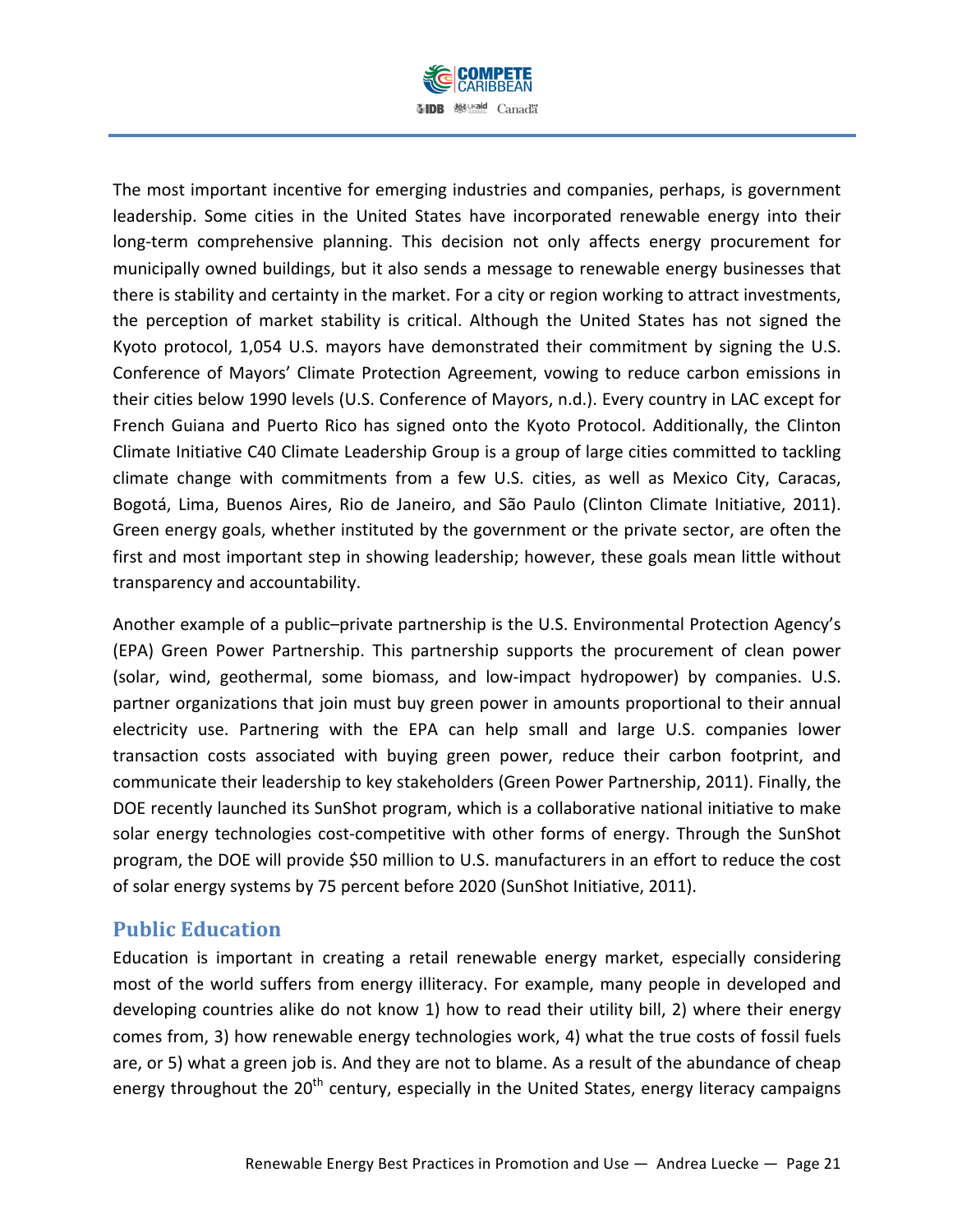

The most important incentive for emerging industries and companies, perhaps, is government leadership. Some cities in the United States have incorporated renewable energy into their long-term comprehensive planning. This decision not only affects energy procurement for municipally owned buildings, but it also sends a message to renewable energy businesses that there is stability and certainty in the market. For a city or region working to attract investments, the perception of market stability is critical. Although the United States has not signed the Kyoto protocol, 1,054 U.S. mayors have demonstrated their commitment by signing the U.S. Conference of Mayors' Climate Protection Agreement, vowing to reduce carbon emissions in their cities below 1990 levels (U.S. Conference of Mayors, n.d.). Every country in LAC except for French Guiana and Puerto Rico has signed onto the Kyoto Protocol. Additionally, the Clinton Climate Initiative C40 Climate Leadership Group is a group of large cities committed to tackling climate change with commitments from a few U.S. cities, as well as Mexico City, Caracas, Bogotá, Lima, Buenos Aires, Rio de Janeiro, and São Paulo (Clinton Climate Initiative, 2011). Green energy goals, whether instituted by the government or the private sector, are often the first and most important step in showing leadership; however, these goals mean little without transparency and accountability.

Another example of a public–private partnership is the U.S. Environmental Protection Agency's (EPA) Green Power Partnership. This partnership supports the procurement of clean power (solar, wind, geothermal, some biomass, and low-impact hydropower) by companies. U.S. partner organizations that join must buy green power in amounts proportional to their annual electricity use. Partnering with the EPA can help small and large U.S. companies lower transaction costs associated with buying green power, reduce their carbon footprint, and communicate their leadership to key stakeholders (Green Power Partnership, 2011). Finally, the DOE recently launched its SunShot program, which is a collaborative national initiative to make solar energy technologies cost-competitive with other forms of energy. Through the SunShot program, the DOE will provide \$50 million to U.S. manufacturers in an effort to reduce the cost of solar energy systems by 75 percent before 2020 (SunShot Initiative, 2011).

#### **Public Education**

Education is important in creating a retail renewable energy market, especially considering most of the world suffers from energy illiteracy. For example, many people in developed and developing countries alike do not know 1) how to read their utility bill, 2) where their energy comes from, 3) how renewable energy technologies work, 4) what the true costs of fossil fuels are, or 5) what a green job is. And they are not to blame. As a result of the abundance of cheap energy throughout the 20<sup>th</sup> century, especially in the United States, energy literacy campaigns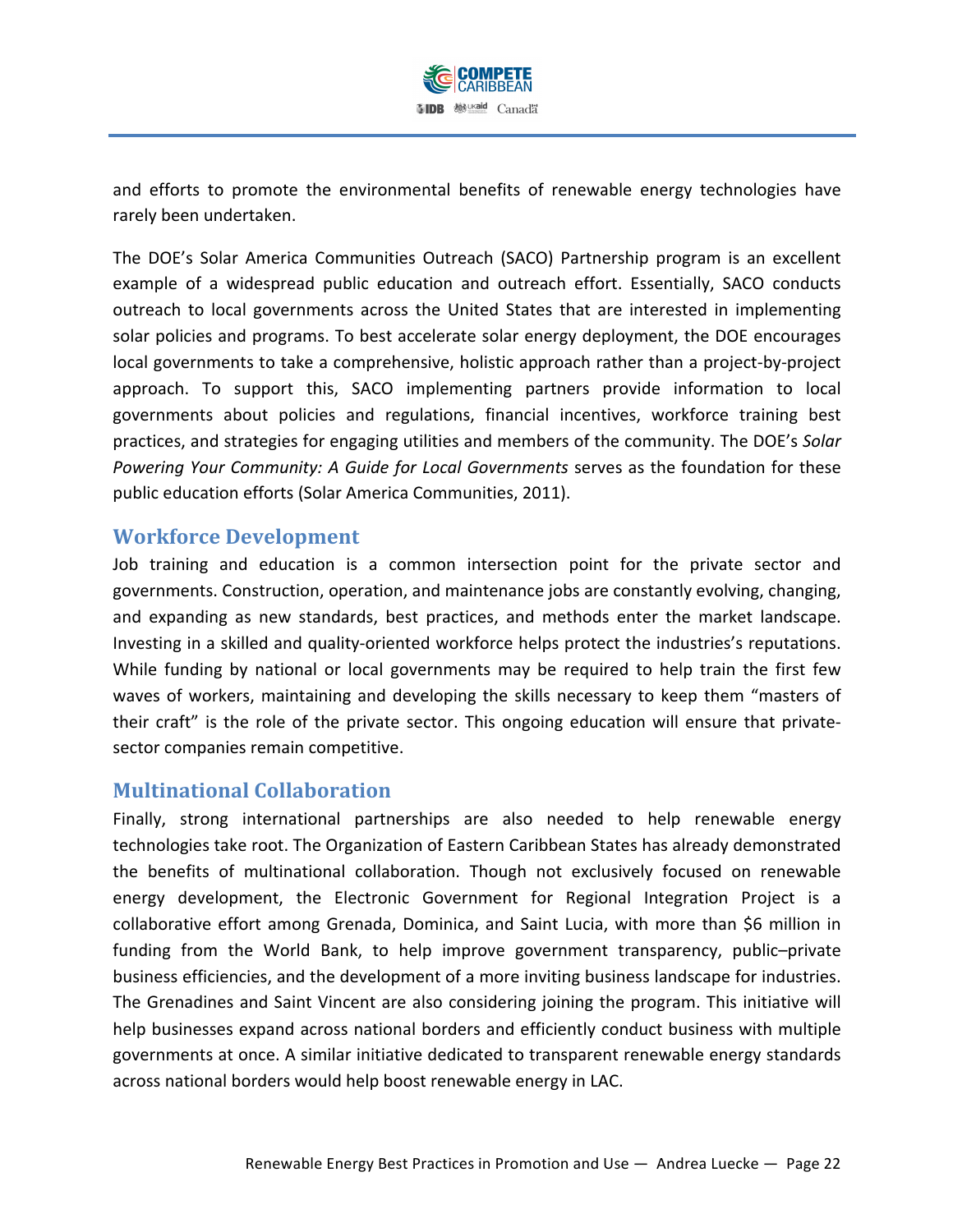

and efforts to promote the environmental benefits of renewable energy technologies have rarely been undertaken.

The DOE's Solar America Communities Outreach (SACO) Partnership program is an excellent example of a widespread public education and outreach effort. Essentially, SACO conducts outreach to local governments across the United States that are interested in implementing solar policies and programs. To best accelerate solar energy deployment, the DOE encourages local governments to take a comprehensive, holistic approach rather than a project-by-project approach. To support this, SACO implementing partners provide information to local governments about policies and regulations, financial incentives, workforce training best practices, and strategies for engaging utilities and members of the community. The DOE's *Solar Powering Your Community: A Guide for Local Governments serves as the foundation for these* public education efforts (Solar America Communities, 2011).

#### **Workforce Development**

Job training and education is a common intersection point for the private sector and governments. Construction, operation, and maintenance jobs are constantly evolving, changing, and expanding as new standards, best practices, and methods enter the market landscape. Investing in a skilled and quality-oriented workforce helps protect the industries's reputations. While funding by national or local governments may be required to help train the first few waves of workers, maintaining and developing the skills necessary to keep them "masters of their craft" is the role of the private sector. This ongoing education will ensure that privatesector companies remain competitive.

#### **Multinational(Collaboration**

Finally, strong international partnerships are also needed to help renewable energy technologies take root. The Organization of Eastern Caribbean States has already demonstrated the benefits of multinational collaboration. Though not exclusively focused on renewable energy development, the Electronic Government for Regional Integration Project is a collaborative effort among Grenada, Dominica, and Saint Lucia, with more than \$6 million in funding from the World Bank, to help improve government transparency, public–private business efficiencies, and the development of a more inviting business landscape for industries. The Grenadines and Saint Vincent are also considering joining the program. This initiative will help businesses expand across national borders and efficiently conduct business with multiple governments at once. A similar initiative dedicated to transparent renewable energy standards across national borders would help boost renewable energy in LAC.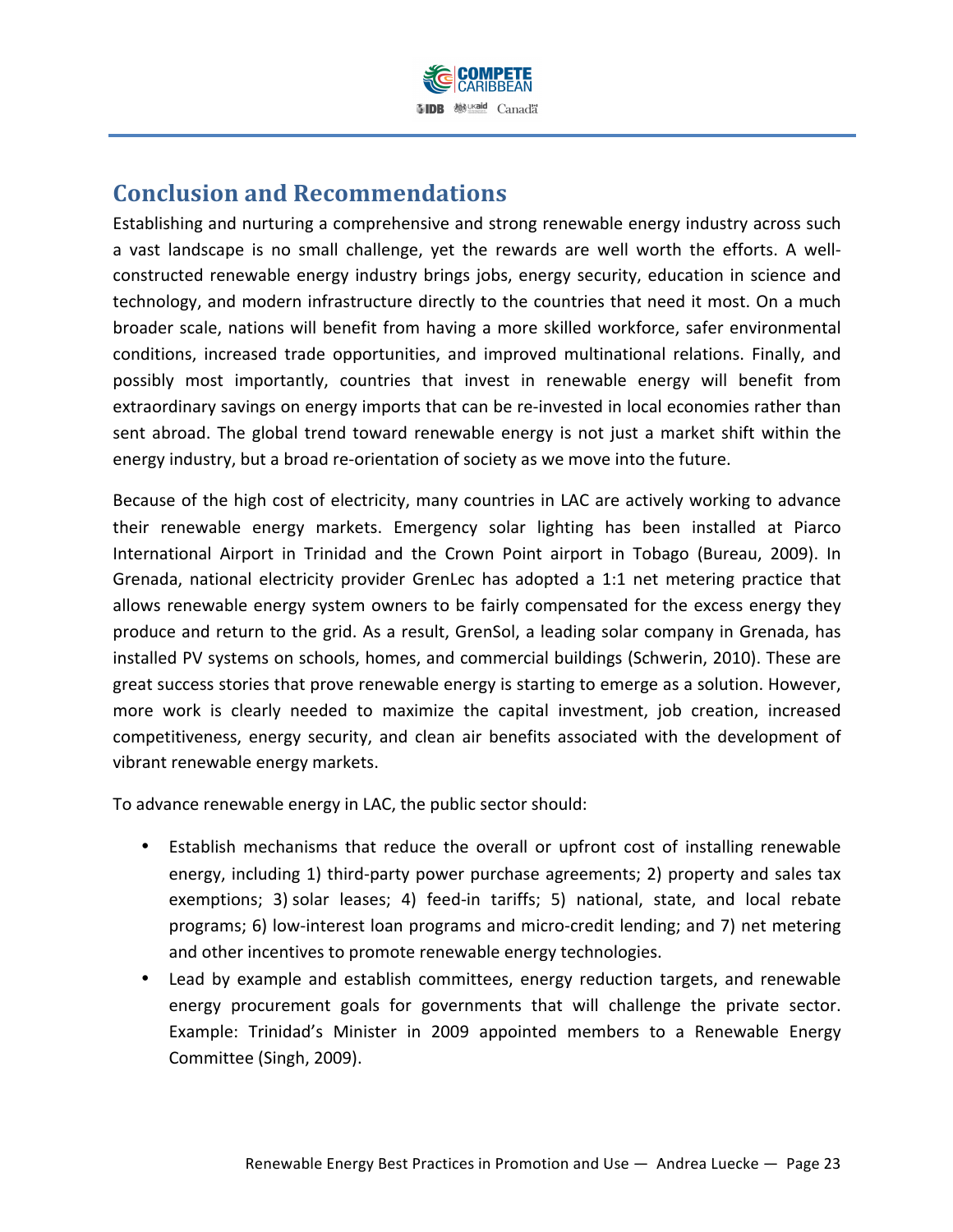

# **Conclusion and Recommendations**

Establishing and nurturing a comprehensive and strong renewable energy industry across such a vast landscape is no small challenge, yet the rewards are well worth the efforts. A wellconstructed renewable energy industry brings jobs, energy security, education in science and technology, and modern infrastructure directly to the countries that need it most. On a much broader scale, nations will benefit from having a more skilled workforce, safer environmental conditions, increased trade opportunities, and improved multinational relations. Finally, and possibly most importantly, countries that invest in renewable energy will benefit from extraordinary savings on energy imports that can be re-invested in local economies rather than sent abroad. The global trend toward renewable energy is not just a market shift within the energy industry, but a broad re-orientation of society as we move into the future.

Because of the high cost of electricity, many countries in LAC are actively working to advance their renewable energy markets. Emergency solar lighting has been installed at Piarco International Airport in Trinidad and the Crown Point airport in Tobago (Bureau, 2009). In Grenada, national electricity provider GrenLec has adopted a 1:1 net metering practice that allows renewable energy system owners to be fairly compensated for the excess energy they produce and return to the grid. As a result, GrenSol, a leading solar company in Grenada, has installed PV systems on schools, homes, and commercial buildings (Schwerin, 2010). These are great success stories that prove renewable energy is starting to emerge as a solution. However, more work is clearly needed to maximize the capital investment, job creation, increased competitiveness, energy security, and clean air benefits associated with the development of vibrant renewable energy markets.

To advance renewable energy in LAC, the public sector should:

- Establish mechanisms that reduce the overall or upfront cost of installing renewable energy, including 1) third-party power purchase agreements; 2) property and sales tax exemptions; 3) solar leases; 4) feed-in tariffs; 5) national, state, and local rebate programs; 6) low-interest loan programs and micro-credit lending; and 7) net metering and other incentives to promote renewable energy technologies.
- Lead by example and establish committees, energy reduction targets, and renewable energy procurement goals for governments that will challenge the private sector. Example: Trinidad's Minister in 2009 appointed members to a Renewable Energy Committee (Singh, 2009).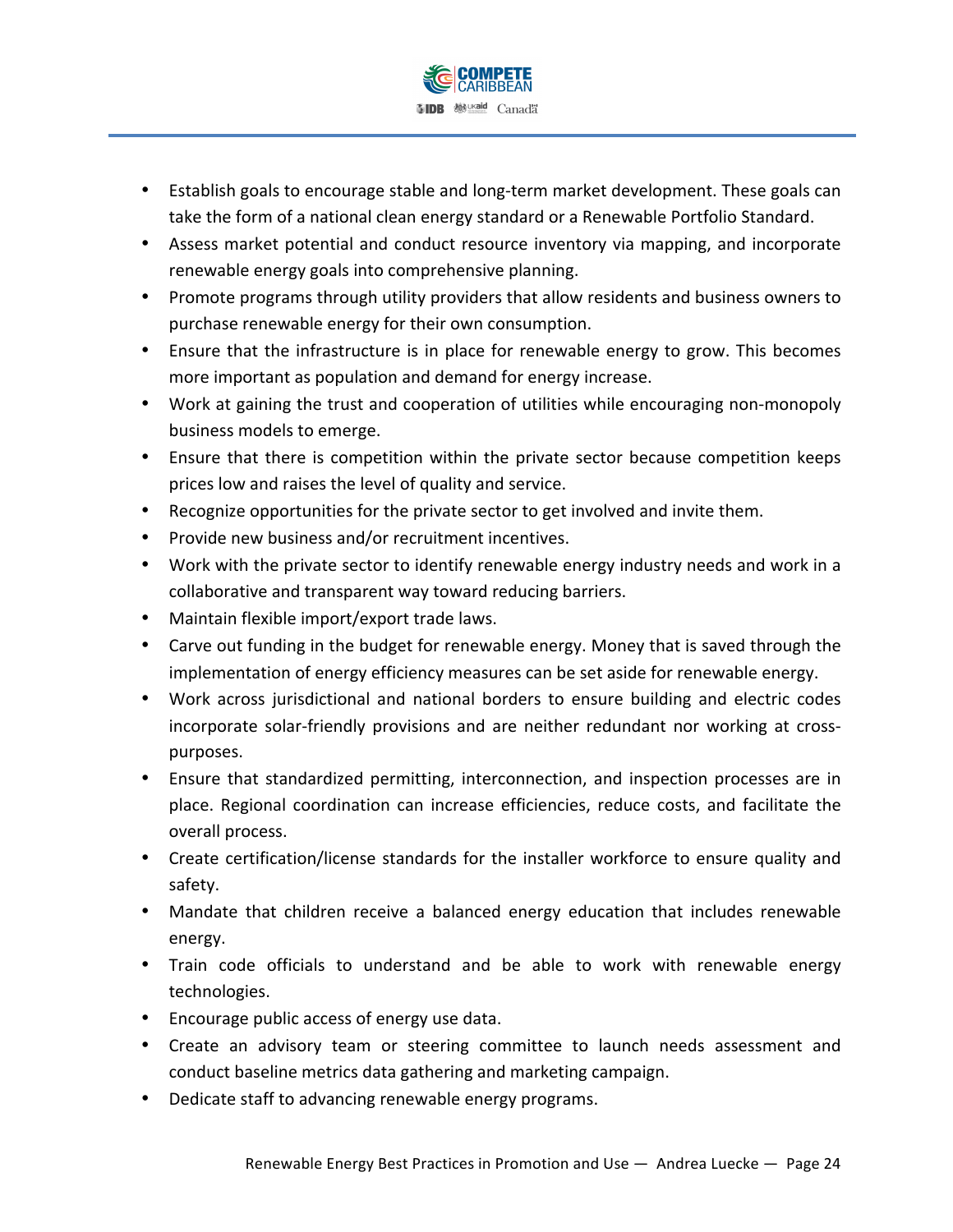

- Establish goals to encourage stable and long-term market development. These goals can take the form of a national clean energy standard or a Renewable Portfolio Standard.
- Assess market potential and conduct resource inventory via mapping, and incorporate renewable energy goals into comprehensive planning.
- Promote programs through utility providers that allow residents and business owners to purchase renewable energy for their own consumption.
- Ensure that the infrastructure is in place for renewable energy to grow. This becomes more important as population and demand for energy increase.
- Work at gaining the trust and cooperation of utilities while encouraging non-monopoly business models to emerge.
- Ensure that there is competition within the private sector because competition keeps prices low and raises the level of quality and service.
- Recognize opportunities for the private sector to get involved and invite them.
- Provide new business and/or recruitment incentives.
- Work with the private sector to identify renewable energy industry needs and work in a collaborative and transparent way toward reducing barriers.
- Maintain flexible import/export trade laws.
- Carve out funding in the budget for renewable energy. Money that is saved through the implementation of energy efficiency measures can be set aside for renewable energy.
- Work across jurisdictional and national borders to ensure building and electric codes incorporate solar-friendly provisions and are neither redundant nor working at crosspurposes.
- Ensure that standardized permitting, interconnection, and inspection processes are in place. Regional coordination can increase efficiencies, reduce costs, and facilitate the overall process.
- Create certification/license standards for the installer workforce to ensure quality and safety.
- Mandate that children receive a balanced energy education that includes renewable energy.
- Train code officials to understand and be able to work with renewable energy technologies.
- Encourage public access of energy use data.
- Create an advisory team or steering committee to launch needs assessment and conduct baseline metrics data gathering and marketing campaign.
- Dedicate staff to advancing renewable energy programs.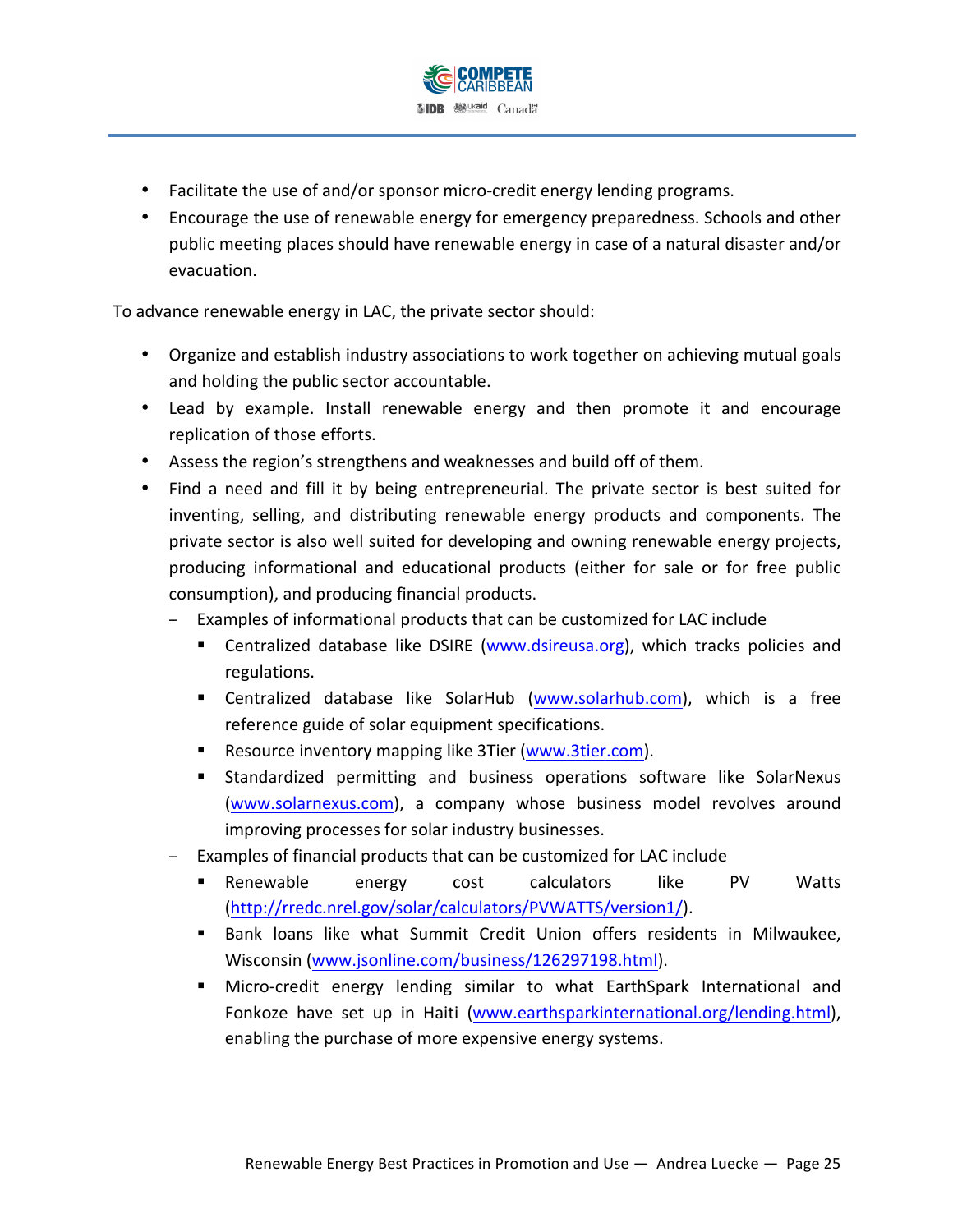

- Facilitate the use of and/or sponsor micro-credit energy lending programs.
- Encourage the use of renewable energy for emergency preparedness. Schools and other public meeting places should have renewable energy in case of a natural disaster and/or evacuation.

To advance renewable energy in LAC, the private sector should:

- Organize and establish industry associations to work together on achieving mutual goals and holding the public sector accountable.
- Lead by example. Install renewable energy and then promote it and encourage replication of those efforts.
- Assess the region's strengthens and weaknesses and build off of them.
- Find a need and fill it by being entrepreneurial. The private sector is best suited for inventing, selling, and distributing renewable energy products and components. The private sector is also well suited for developing and owning renewable energy projects, producing informational and educational products (either for sale or for free public consumption), and producing financial products.
	- Examples of informational products that can be customized for LAC include
		- **E** Centralized database like DSIRE (www.dsireusa.org), which tracks policies and regulations.
		- " Centralized database like SolarHub (www.solarhub.com), which is a free reference guide of solar equipment specifications.
		- **E** Resource inventory mapping like 3Tier (www.3tier.com).
		- **E** Standardized permitting and business operations software like SolarNexus (www.solarnexus.com), a company whose business model revolves around improving processes for solar industry businesses.
	- Examples of financial products that can be customized for LAC include
		- **E** Renewable energy cost calculators like PV Watts (http://rredc.nrel.gov/solar/calculators/PVWATTS/version1/).
		- " Bank loans like what Summit Credit Union offers residents in Milwaukee, Wisconsin (www.jsonline.com/business/126297198.html).
		- **I** Micro-credit energy lending similar to what EarthSpark International and Fonkoze have set up in Haiti (www.earthsparkinternational.org/lending.html), enabling the purchase of more expensive energy systems.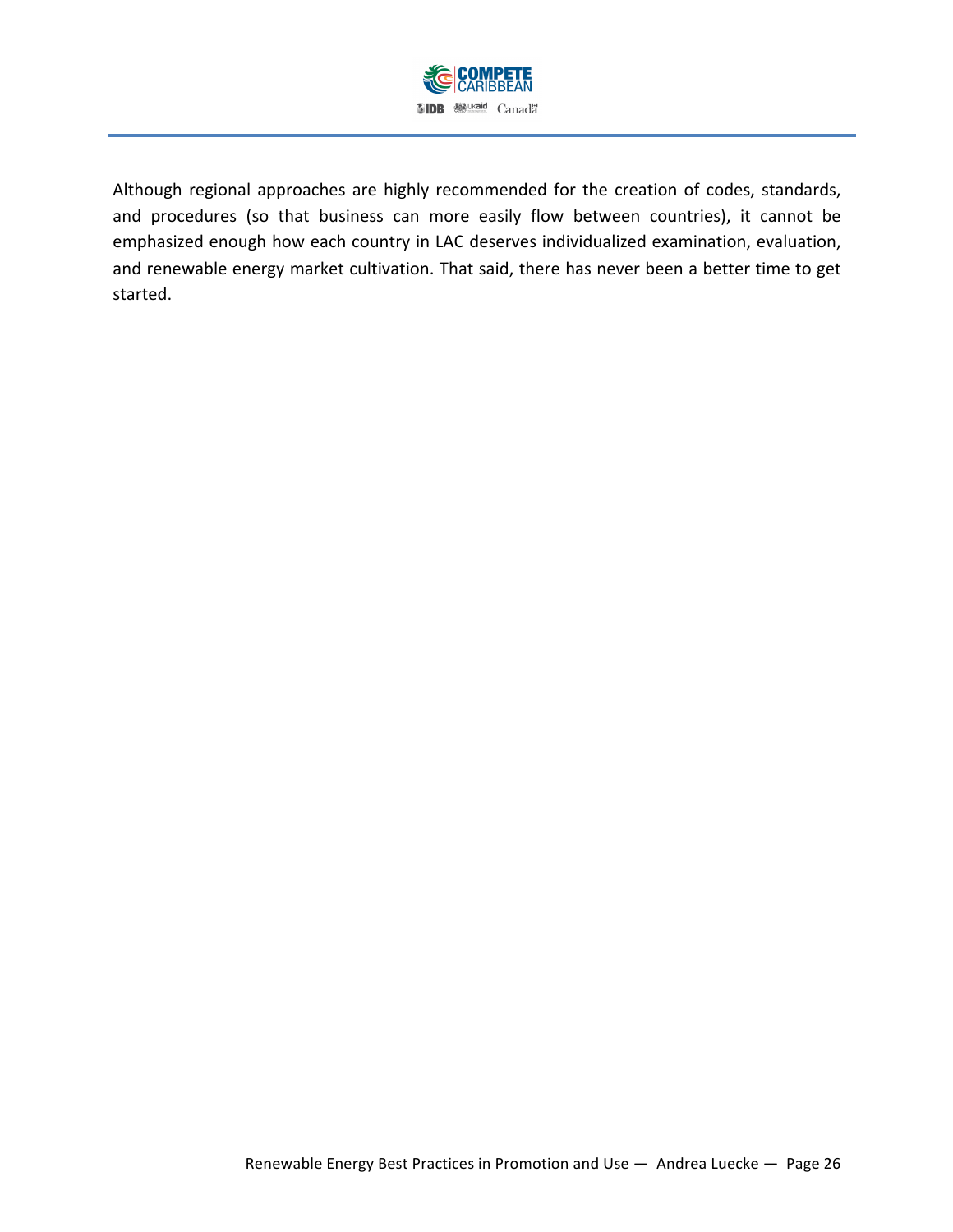

Although regional approaches are highly recommended for the creation of codes, standards, and procedures (so that business can more easily flow between countries), it cannot be emphasized enough how each country in LAC deserves individualized examination, evaluation, and renewable energy market cultivation. That said, there has never been a better time to get started.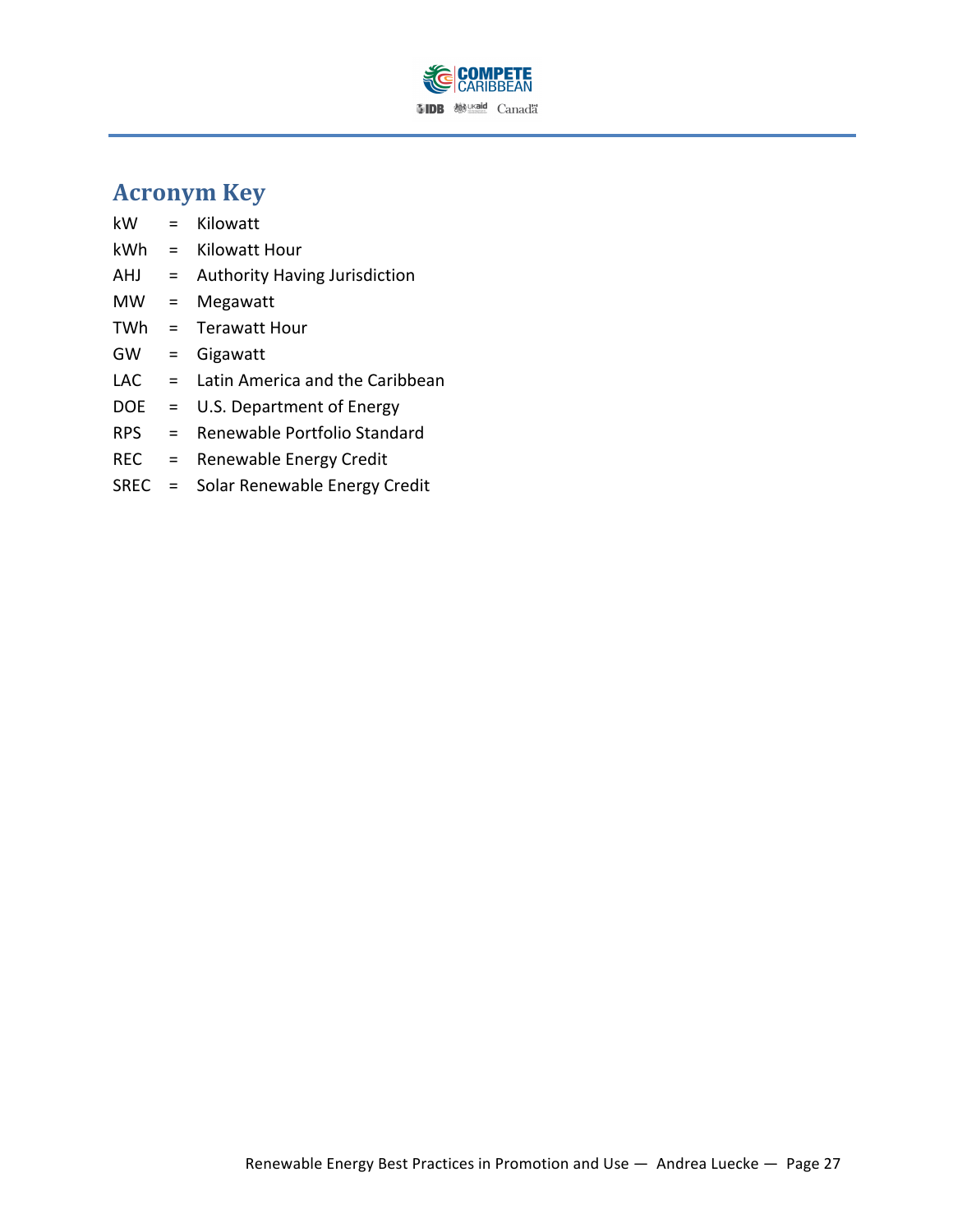

# **Acronym Key**

kW = Kilowatt  $kWh = Kilowatt Hour$ AHJ = Authority Having Jurisdiction MW = Megawatt  $TWh = Terawatt Hour$ GW = Gigawatt LAC  $=$  Latin America and the Caribbean DOE = U.S. Department of Energy RPS = Renewable Portfolio Standard REC = Renewable Energy Credit SREC = Solar Renewable Energy Credit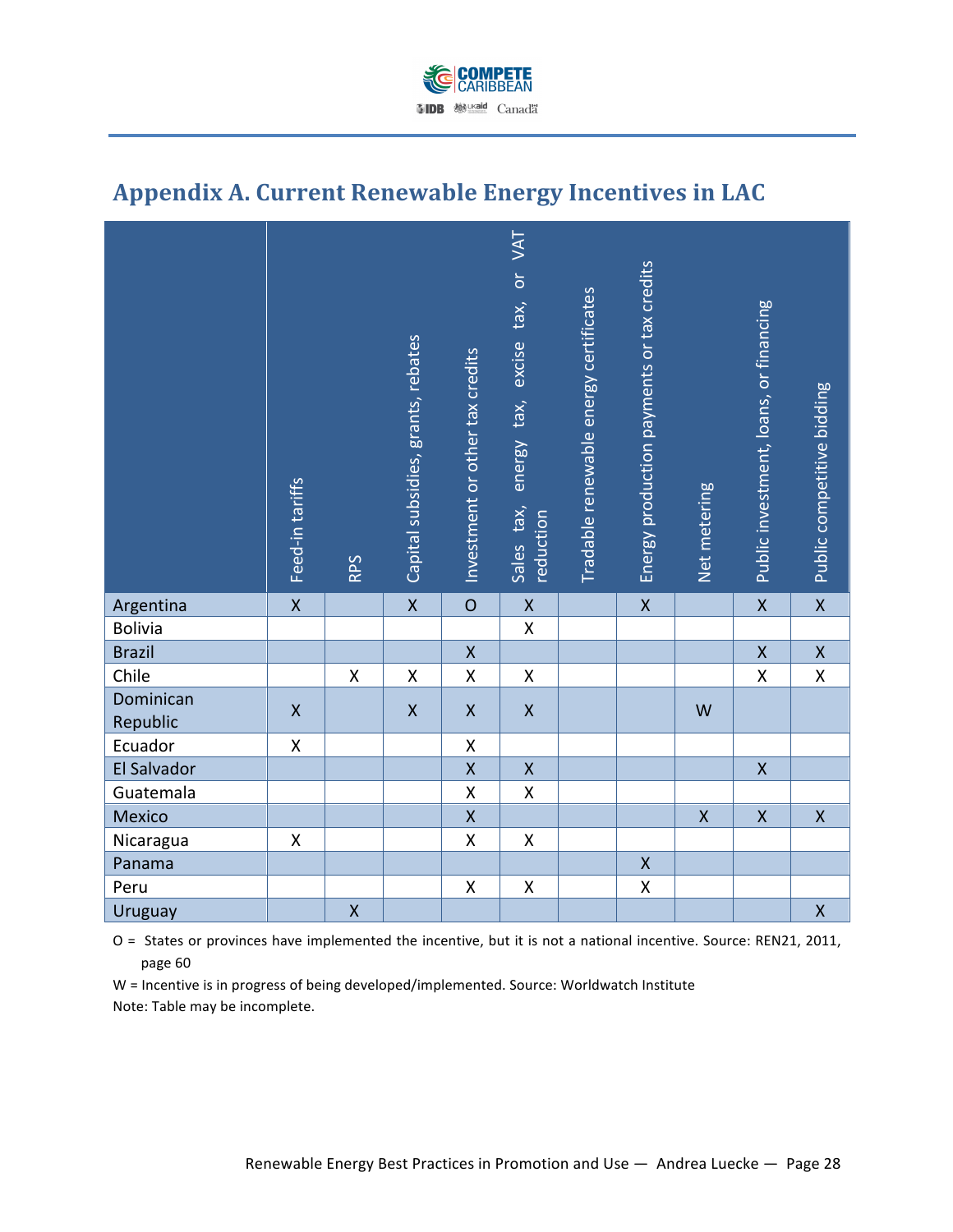

# Appendix A. Current Renewable Energy Incentives in LAC

|                       | Feed-in tariffs    | RPS                | Capital subsidies, grants, rebates | Investment or other tax credits | VAT<br>$\overline{\mathsf{d}}$<br>tax,<br>excise<br>tax,<br>energy<br>Sales tax,<br>reduction | Tradable renewable energy certificates | Energy production payments or tax credits | Net metering | Public investment, loans, or financing | Public competitive bidding |
|-----------------------|--------------------|--------------------|------------------------------------|---------------------------------|-----------------------------------------------------------------------------------------------|----------------------------------------|-------------------------------------------|--------------|----------------------------------------|----------------------------|
| Argentina             | $\mathsf X$        |                    | $\pmb{\mathsf{X}}$                 | $\circ$                         | $\pmb{\mathsf{X}}$                                                                            |                                        | $\mathsf X$                               |              | $\pmb{\mathsf{X}}$                     | $\mathsf X$                |
| Bolivia               |                    |                    |                                    |                                 | $\mathsf{X}$                                                                                  |                                        |                                           |              |                                        |                            |
| <b>Brazil</b>         |                    |                    |                                    | $\pmb{\mathsf{X}}$              |                                                                                               |                                        |                                           |              | $\pmb{\mathsf{X}}$                     | $\mathsf X$                |
| Chile                 |                    | $\mathsf{X}$       | $\pmb{\mathsf{X}}$                 | $\mathsf{X}% _{0}$              | $\pmb{\mathsf{X}}$                                                                            |                                        |                                           |              | $\pmb{\mathsf{X}}$                     | $\pmb{\mathsf{X}}$         |
| Dominican<br>Republic | $\pmb{\mathsf{X}}$ |                    | $\pmb{\mathsf{X}}$                 | $\pmb{\mathsf{X}}$              | $\pmb{\mathsf{X}}$                                                                            |                                        |                                           | W            |                                        |                            |
| Ecuador               | X                  |                    |                                    | X                               |                                                                                               |                                        |                                           |              |                                        |                            |
| El Salvador           |                    |                    |                                    | $\mathsf{X}$                    | $\mathsf X$                                                                                   |                                        |                                           |              | $\mathsf{X}$                           |                            |
| Guatemala             |                    |                    |                                    | $\pmb{\mathsf{X}}$              | $\pmb{\mathsf{X}}$                                                                            |                                        |                                           |              |                                        |                            |
| Mexico                |                    |                    |                                    | $\pmb{\mathsf{X}}$              |                                                                                               |                                        |                                           | $\mathsf{X}$ | $\pmb{\mathsf{X}}$                     | $\pmb{\mathsf{X}}$         |
| Nicaragua             | Χ                  |                    |                                    | Χ                               | Χ                                                                                             |                                        |                                           |              |                                        |                            |
| Panama                |                    |                    |                                    |                                 |                                                                                               |                                        | $\mathsf X$                               |              |                                        |                            |
| Peru                  |                    |                    |                                    | $\pmb{\mathsf{X}}$              | $\pmb{\mathsf{X}}$                                                                            |                                        | $\pmb{\mathsf{X}}$                        |              |                                        |                            |
| Uruguay               |                    | $\pmb{\mathsf{X}}$ |                                    |                                 |                                                                                               |                                        |                                           |              |                                        | $\pmb{\mathsf{X}}$         |

O = States or provinces have implemented the incentive, but it is not a national incentive. Source: REN21, 2011, page 60

W = Incentive is in progress of being developed/implemented. Source: Worldwatch Institute Note: Table may be incomplete.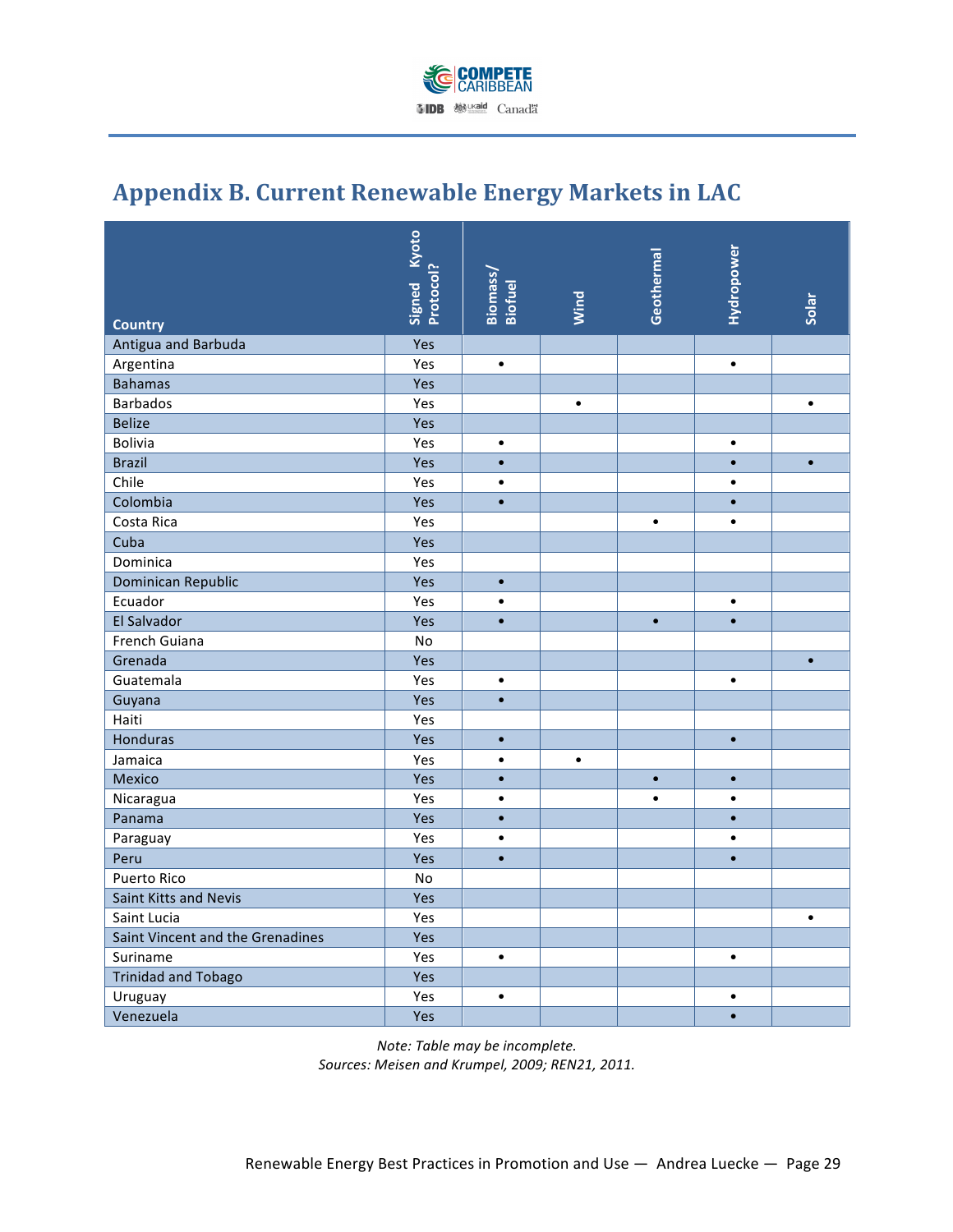

# Appendix B. Current Renewable Energy Markets in LAC

| <b>Country</b>                   | <b>Signed</b> Kyoto<br>Protocol? | Biomass/<br><b>Biofuel</b> | Wind      | Geothermal | Hydropower | Solar     |
|----------------------------------|----------------------------------|----------------------------|-----------|------------|------------|-----------|
| Antigua and Barbuda              | Yes                              |                            |           |            |            |           |
| Argentina                        | Yes                              | $\bullet$                  |           |            | $\bullet$  |           |
| <b>Bahamas</b>                   | Yes                              |                            |           |            |            |           |
| <b>Barbados</b>                  | Yes                              |                            | $\bullet$ |            |            | $\bullet$ |
| <b>Belize</b>                    | Yes                              |                            |           |            |            |           |
| Bolivia                          | Yes                              | $\bullet$                  |           |            | $\bullet$  |           |
| <b>Brazil</b>                    | Yes                              | $\bullet$                  |           |            | $\bullet$  | $\bullet$ |
| Chile                            | Yes                              | $\bullet$                  |           |            | $\bullet$  |           |
| Colombia                         | Yes                              | $\bullet$                  |           |            | $\bullet$  |           |
| Costa Rica                       | Yes                              |                            |           | $\bullet$  | $\bullet$  |           |
| Cuba                             | Yes                              |                            |           |            |            |           |
| Dominica                         | Yes                              |                            |           |            |            |           |
| Dominican Republic               | Yes                              | $\bullet$                  |           |            |            |           |
| Ecuador                          | Yes                              | $\bullet$                  |           |            | $\bullet$  |           |
| El Salvador                      | Yes                              | $\bullet$                  |           | $\bullet$  | $\bullet$  |           |
| French Guiana                    | No                               |                            |           |            |            |           |
| Grenada                          | Yes                              |                            |           |            |            | $\bullet$ |
| Guatemala                        | Yes                              | $\bullet$                  |           |            | $\bullet$  |           |
| Guyana                           | Yes                              | $\bullet$                  |           |            |            |           |
| Haiti                            | Yes                              |                            |           |            |            |           |
| Honduras                         | Yes                              | $\bullet$                  |           |            | $\bullet$  |           |
| Jamaica                          | Yes                              | $\bullet$                  | $\bullet$ |            |            |           |
| Mexico                           | Yes                              | $\bullet$                  |           | $\bullet$  | $\bullet$  |           |
| Nicaragua                        | Yes                              | $\bullet$                  |           | $\bullet$  | $\bullet$  |           |
| Panama                           | Yes                              | $\bullet$                  |           |            | $\bullet$  |           |
| Paraguay                         | Yes                              | $\bullet$                  |           |            | $\bullet$  |           |
| Peru                             | Yes                              | $\bullet$                  |           |            | $\bullet$  |           |
| <b>Puerto Rico</b>               | <b>No</b>                        |                            |           |            |            |           |
| Saint Kitts and Nevis            | Yes                              |                            |           |            |            |           |
| Saint Lucia                      | Yes                              |                            |           |            |            | $\bullet$ |
| Saint Vincent and the Grenadines | Yes                              |                            |           |            |            |           |
| Suriname                         | Yes                              | $\bullet$                  |           |            | $\bullet$  |           |
| <b>Trinidad and Tobago</b>       | Yes                              |                            |           |            |            |           |
| Uruguay                          | Yes                              | $\bullet$                  |           |            | $\bullet$  |           |
| Venezuela                        | Yes                              |                            |           |            | $\bullet$  |           |

*Note: Table may be incomplete. Sources: Meisen and Krumpel,)2009; REN21, 2011.*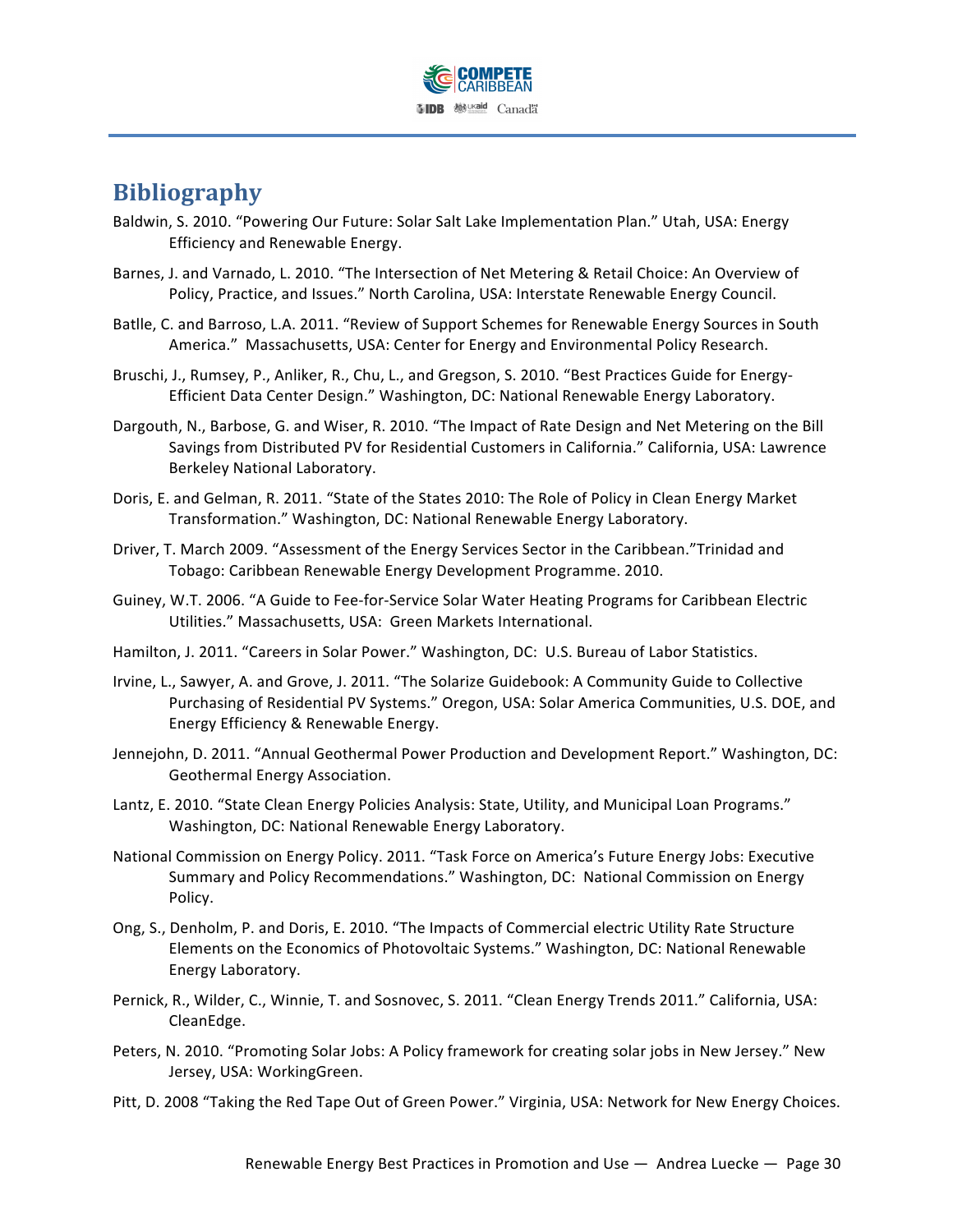

# **Bibliography**

- Baldwin, S. 2010. "Powering Our Future: Solar Salt Lake Implementation Plan." Utah, USA: Energy Efficiency and Renewable Energy.
- Barnes, J. and Varnado, L. 2010. "The Intersection of Net Metering & Retail Choice: An Overview of Policy, Practice, and Issues." North Carolina, USA: Interstate Renewable Energy Council.
- Batlle, C. and Barroso, L.A. 2011. "Review of Support Schemes for Renewable Energy Sources in South America." Massachusetts, USA: Center for Energy and Environmental Policy Research.
- Bruschi, J., Rumsey, P., Anliker, R., Chu, L., and Gregson, S. 2010. "Best Practices Guide for Energy-Efficient Data Center Design." Washington, DC: National Renewable Energy Laboratory.
- Dargouth, N., Barbose, G. and Wiser, R. 2010. "The Impact of Rate Design and Net Metering on the Bill Savings from Distributed PV for Residential Customers in California." California, USA: Lawrence Berkeley National Laboratory.
- Doris, E. and Gelman, R. 2011. "State of the States 2010: The Role of Policy in Clean Energy Market Transformation." Washington, DC: National Renewable Energy Laboratory.
- Driver, T. March 2009. "Assessment of the Energy Services Sector in the Caribbean."Trinidad and Tobago: Caribbean Renewable Energy Development Programme. 2010.
- Guiney, W.T. 2006. "A Guide to Fee-for-Service Solar Water Heating Programs for Caribbean Electric Utilities." Massachusetts, USA: Green Markets International.
- Hamilton, J. 2011. "Careers in Solar Power." Washington, DC: U.S. Bureau of Labor Statistics.
- Irvine, L., Sawyer, A. and Grove, J. 2011. "The Solarize Guidebook: A Community Guide to Collective Purchasing of Residential PV Systems." Oregon, USA: Solar America Communities, U.S. DOE, and Energy Efficiency & Renewable Energy.
- Jennejohn, D. 2011. "Annual Geothermal Power Production and Development Report." Washington, DC: Geothermal Energy Association.
- Lantz, E. 2010. "State Clean Energy Policies Analysis: State, Utility, and Municipal Loan Programs." Washington, DC: National Renewable Energy Laboratory.
- National Commission on Energy Policy. 2011. "Task Force on America's Future Energy Jobs: Executive Summary and Policy Recommendations." Washington, DC: National Commission on Energy Policy.
- Ong, S., Denholm, P. and Doris, E. 2010. "The Impacts of Commercial electric Utility Rate Structure Elements on the Economics of Photovoltaic Systems." Washington, DC: National Renewable Energy Laboratory.
- Pernick, R., Wilder, C., Winnie, T. and Sosnovec, S. 2011. "Clean Energy Trends 2011." California, USA: CleanEdge.!
- Peters, N. 2010. "Promoting Solar Jobs: A Policy framework for creating solar jobs in New Jersey." New Jersey, USA: WorkingGreen.
- Pitt, D. 2008 "Taking the Red Tape Out of Green Power." Virginia, USA: Network for New Energy Choices.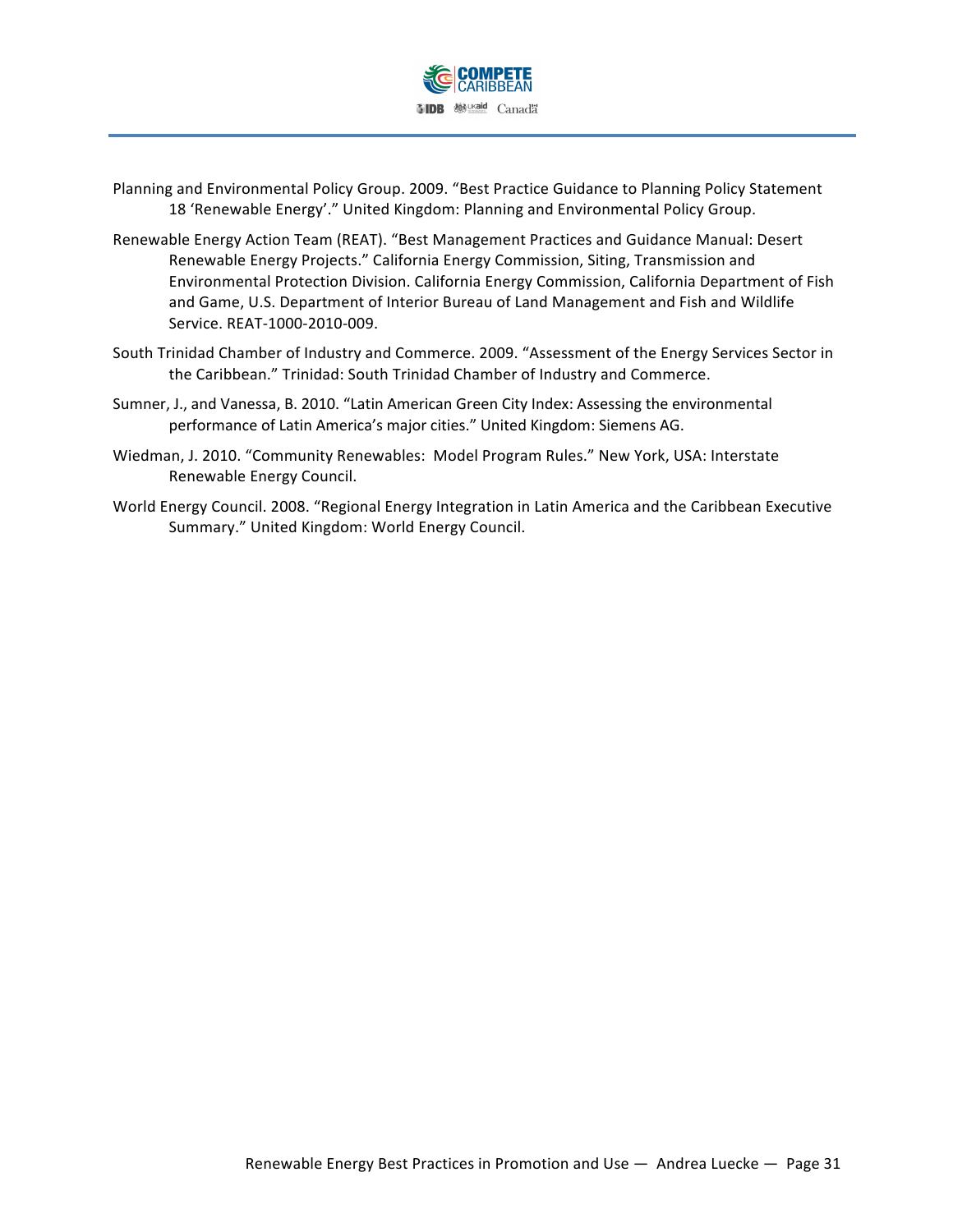

- Planning and Environmental Policy Group. 2009. "Best Practice Guidance to Planning Policy Statement 18 'Renewable Energy'." United Kingdom: Planning and Environmental Policy Group.
- Renewable Energy Action Team (REAT). "Best Management Practices and Guidance Manual: Desert Renewable Energy Projects." California Energy Commission, Siting, Transmission and Environmental Protection Division. California Energy Commission, California Department of Fish and Game, U.S. Department of Interior Bureau of Land Management and Fish and Wildlife Service. REAT-1000-2010-009.
- South Trinidad Chamber of Industry and Commerce. 2009. "Assessment of the Energy Services Sector in the Caribbean." Trinidad: South Trinidad Chamber of Industry and Commerce.
- Sumner, J., and Vanessa, B. 2010. "Latin American Green City Index: Assessing the environmental performance of Latin America's major cities." United Kingdom: Siemens AG.
- Wiedman, J. 2010. "Community Renewables: Model Program Rules." New York, USA: Interstate Renewable Energy Council.
- World Energy Council. 2008. "Regional Energy Integration in Latin America and the Caribbean Executive Summary." United Kingdom: World Energy Council.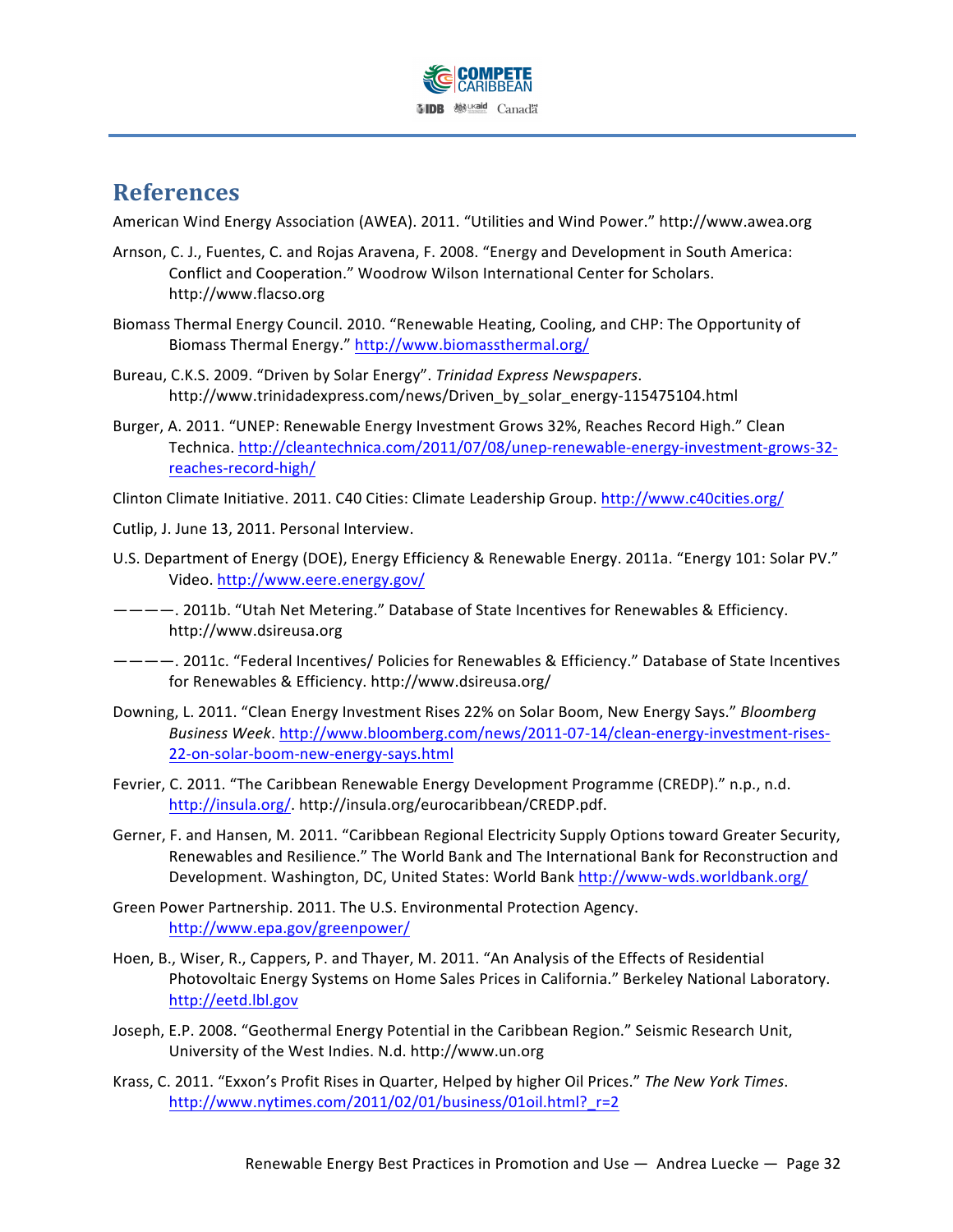

# **References**

American Wind Energy Association (AWEA). 2011. "Utilities and Wind Power." http://www.awea.org

- Arnson, C. J., Fuentes, C. and Rojas Aravena, F. 2008. "Energy and Development in South America: Conflict and Cooperation." Woodrow Wilson International Center for Scholars. http://www.flacso.org
- Biomass Thermal Energy Council. 2010. "Renewable Heating, Cooling, and CHP: The Opportunity of Biomass Thermal Energy." http://www.biomassthermal.org/
- Bureau, C.K.S. 2009. "Driven by Solar Energy". Trinidad Express Newspapers. http://www.trinidadexpress.com/news/Driven\_by\_solar\_energy-115475104.html
- Burger, A. 2011. "UNEP: Renewable Energy Investment Grows 32%, Reaches Record High." Clean Technica. http://cleantechnica.com/2011/07/08/unep-renewable-energy-investment-grows-32reaches-record-high/

Clinton Climate Initiative. 2011. C40 Cities: Climate Leadership Group. http://www.c40cities.org/

- Cutlip, J. June 13, 2011. Personal Interview.
- U.S. Department of Energy (DOE), Energy Efficiency & Renewable Energy. 2011a. "Energy 101: Solar PV." Video. http://www.eere.energy.gov/
- ————. 2011b. "Utah Net Metering." Database of State Incentives for Renewables & Efficiency. http://www.dsireusa.org
- ————. 2011c. "Federal Incentives/ Policies for Renewables & Efficiency." Database of State Incentives for Renewables & Efficiency. http://www.dsireusa.org/
- Downing, L. 2011. "Clean Energy Investment Rises 22% on Solar Boom, New Energy Says." *Bloomberg Business Week*. http://www.bloomberg.com/news/2011-07-14/clean-energy-investment-rises-22-on-solar-boom-new-energy-says.html
- Fevrier, C. 2011. "The Caribbean Renewable Energy Development Programme (CREDP)." n.p., n.d. http://insula.org/.!http://insula.org/eurocaribbean/CREDP.pdf.
- Gerner, F. and Hansen, M. 2011. "Caribbean Regional Electricity Supply Options toward Greater Security, Renewables and Resilience." The World Bank and The International Bank for Reconstruction and Development. Washington, DC, United States: World Bank http://www-wds.worldbank.org/
- Green Power Partnership. 2011. The U.S. Environmental Protection Agency. http://www.epa.gov/greenpower/
- Hoen, B., Wiser, R., Cappers, P. and Thayer, M. 2011. "An Analysis of the Effects of Residential Photovoltaic Energy Systems on Home Sales Prices in California." Berkeley National Laboratory. http://eetd.lbl.gov
- Joseph, E.P. 2008. "Geothermal Energy Potential in the Caribbean Region." Seismic Research Unit, University of the West Indies. N.d. http://www.un.org
- Krass, C. 2011. "Exxon's Profit Rises in Quarter, Helped by higher Oil Prices." *The New York Times*. http://www.nytimes.com/2011/02/01/business/01oil.html?\_r=2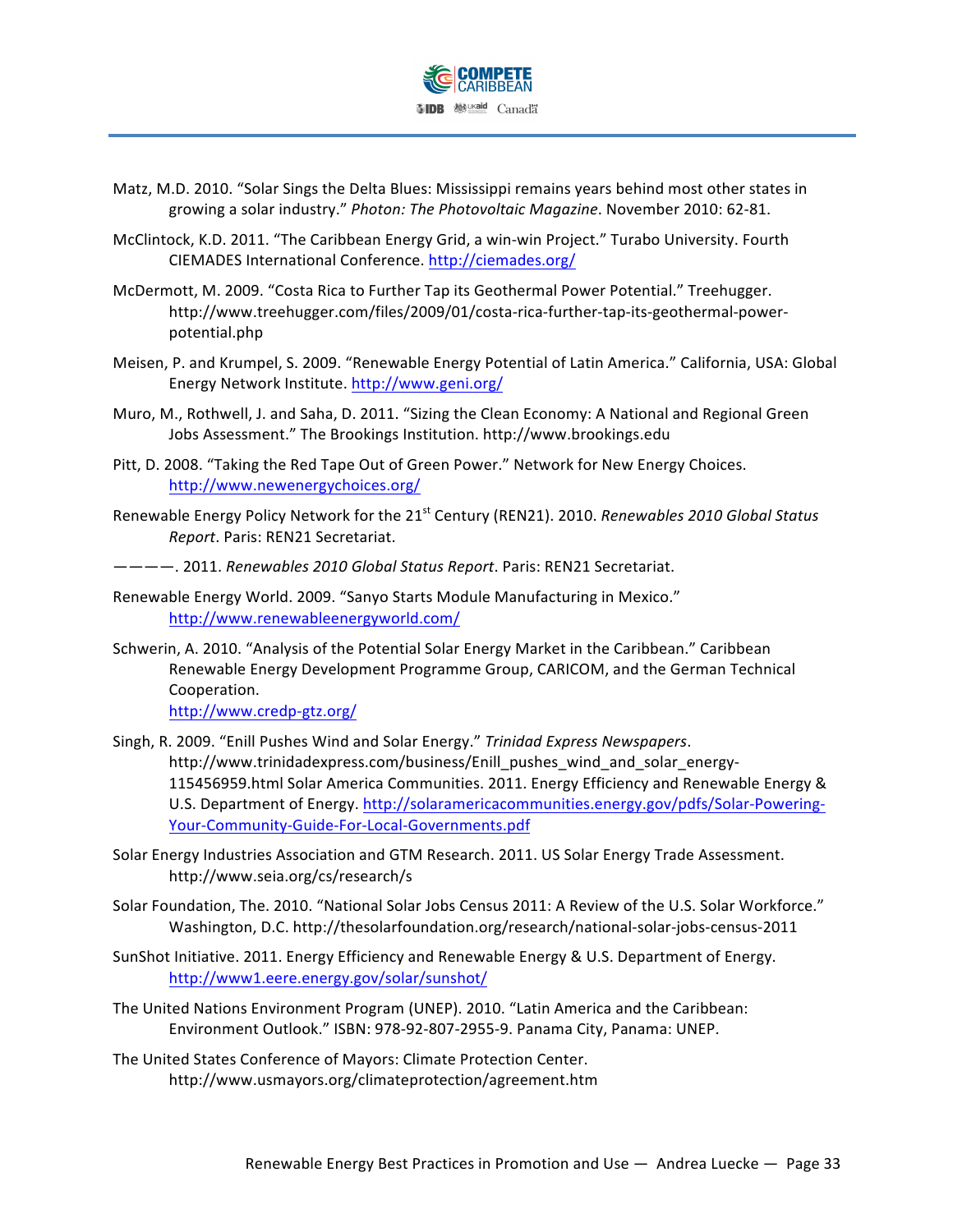

- Matz, M.D. 2010. "Solar Sings the Delta Blues: Mississippi remains years behind most other states in growing a solar industry." *Photon: The Photovoltaic Magazine*. November 2010: 62-81.
- McClintock, K.D. 2011. "The Caribbean Energy Grid, a win-win Project." Turabo University. Fourth CIEMADES International Conference. http://ciemades.org/
- McDermott, M. 2009. "Costa Rica to Further Tap its Geothermal Power Potential." Treehugger. http://www.treehugger.com/files/2009/01/costa-rica-further-tap-its-geothermal-powerpotential.php
- Meisen, P. and Krumpel, S. 2009. "Renewable Energy Potential of Latin America." California, USA: Global Energy Network Institute. http://www.geni.org/
- Muro, M., Rothwell, J. and Saha, D. 2011. "Sizing the Clean Economy: A National and Regional Green Jobs Assessment." The Brookings Institution. http://www.brookings.edu
- Pitt, D. 2008. "Taking the Red Tape Out of Green Power." Network for New Energy Choices. http://www.newenergychoices.org/
- Renewable Energy Policy Network for the 21<sup>st</sup> Century (REN21). 2010. *Renewables 2010 Global Status Report*. Paris: REN21 Secretariat.

————.!2011. *Renewables)2010)Global)Status)Report*.!Paris:!REN21!Secretariat.

- Renewable Energy World. 2009. "Sanyo Starts Module Manufacturing in Mexico." http://www.renewableenergyworld.com/
- Schwerin, A. 2010. "Analysis of the Potential Solar Energy Market in the Caribbean." Caribbean Renewable Energy Development Programme Group, CARICOM, and the German Technical Cooperation.

http://www.credp-gtz.org/

- Singh, R. 2009. "Enill Pushes Wind and Solar Energy." Trinidad Express Newspapers. http://www.trinidadexpress.com/business/Enill\_pushes\_wind\_and\_solar\_energy-115456959.html Solar America Communities. 2011. Energy Efficiency and Renewable Energy & U.S. Department of Energy. http://solaramericacommunities.energy.gov/pdfs/Solar-Powering-Your-Community-Guide-For-Local-Governments.pdf
- Solar Energy Industries Association and GTM Research. 2011. US Solar Energy Trade Assessment. http://www.seia.org/cs/research/s
- Solar Foundation, The. 2010. "National Solar Jobs Census 2011: A Review of the U.S. Solar Workforce." Washington, D.C. http://thesolarfoundation.org/research/national-solar-jobs-census-2011
- SunShot Initiative. 2011. Energy Efficiency and Renewable Energy & U.S. Department of Energy. http://www1.eere.energy.gov/solar/sunshot/
- The United Nations Environment Program (UNEP). 2010. "Latin America and the Caribbean: Environment Outlook." ISBN: 978-92-807-2955-9. Panama City, Panama: UNEP.
- The United States Conference of Mayors: Climate Protection Center. http://www.usmayors.org/climateprotection/agreement.htm